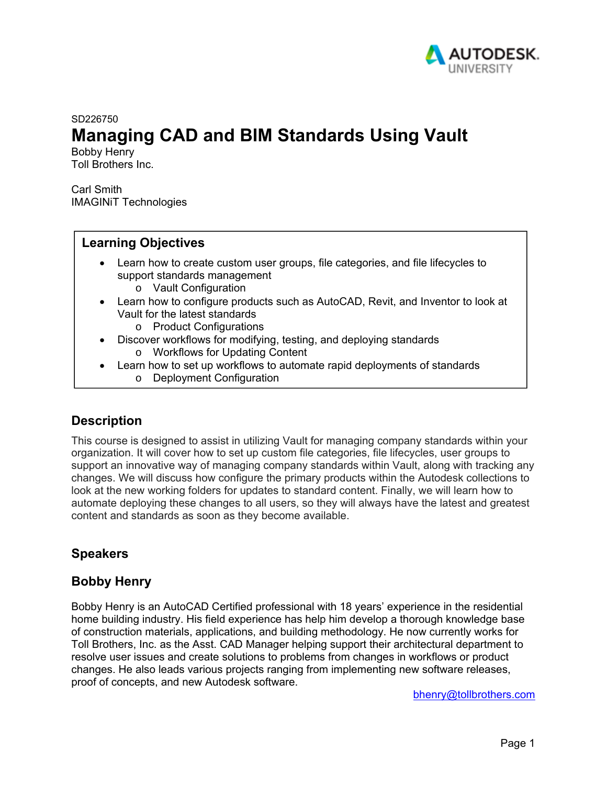

SD226750

# **Managing CAD and BIM Standards Using Vault**

Bobby Henry Toll Brothers Inc.

Carl Smith IMAGINiT Technologies

# **Learning Objectives**

- Learn how to create custom user groups, file categories, and file lifecycles to support standards management
	- o Vault Configuration
- Learn how to configure products such as AutoCAD, Revit, and Inventor to look at Vault for the latest standards
	- o Product Configurations
- Discover workflows for modifying, testing, and deploying standards
	- o Workflows for Updating Content
- Learn how to set up workflows to automate rapid deployments of standards
	- o Deployment Configuration

# **Description**

This course is designed to assist in utilizing Vault for managing company standards within your organization. It will cover how to set up custom file categories, file lifecycles, user groups to support an innovative way of managing company standards within Vault, along with tracking any changes. We will discuss how configure the primary products within the Autodesk collections to look at the new working folders for updates to standard content. Finally, we will learn how to automate deploying these changes to all users, so they will always have the latest and greatest content and standards as soon as they become available.

# **Speakers**

# **Bobby Henry**

Bobby Henry is an AutoCAD Certified professional with 18 years' experience in the residential home building industry. His field experience has help him develop a thorough knowledge base of construction materials, applications, and building methodology. He now currently works for Toll Brothers, Inc. as the Asst. CAD Manager helping support their architectural department to resolve user issues and create solutions to problems from changes in workflows or product changes. He also leads various projects ranging from implementing new software releases, proof of concepts, and new Autodesk software.

bhenry@tollbrothers.com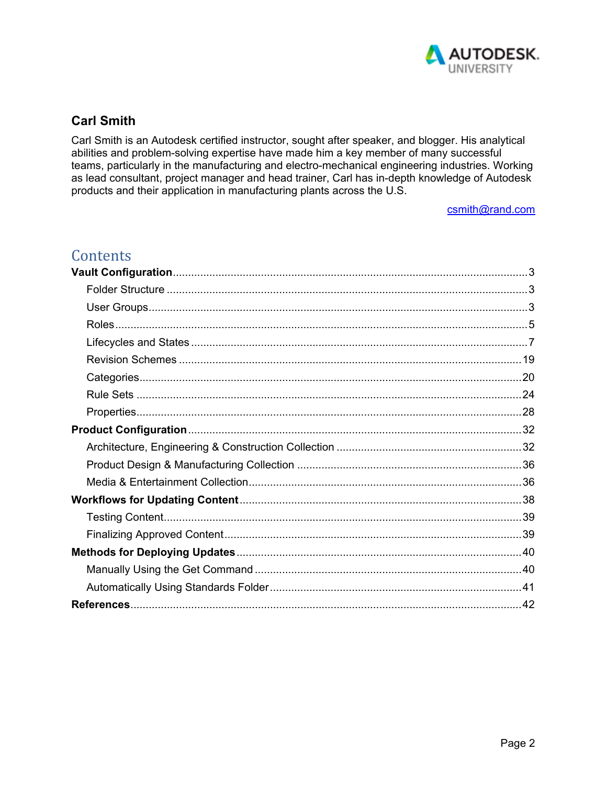

# **Carl Smith**

Carl Smith is an Autodesk certified instructor, sought after speaker, and blogger. His analytical abilities and problem-solving expertise have made him a key member of many successful teams, particularly in the manufacturing and electro-mechanical engineering industries. Working as lead consultant, project manager and head trainer, Carl has in-depth knowledge of Autodesk products and their application in manufacturing plants across the U.S.

csmith@rand.com

# Contents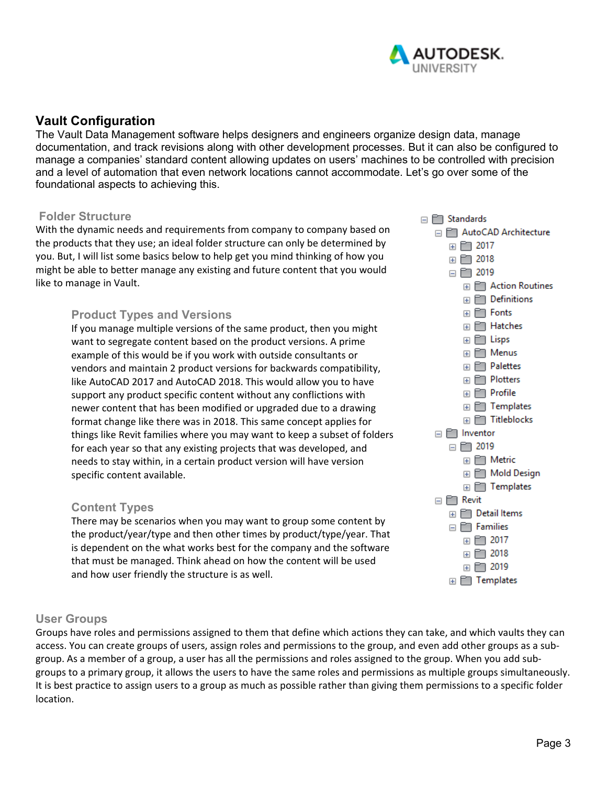

# **Vault Configuration**

The Vault Data Management software helps designers and engineers organize design data, manage documentation, and track revisions along with other development processes. But it can also be configured to manage a companies' standard content allowing updates on users' machines to be controlled with precision and a level of automation that even network locations cannot accommodate. Let's go over some of the foundational aspects to achieving this.

### **Folder Structure**

With the dynamic needs and requirements from company to company based on the products that they use; an ideal folder structure can only be determined by you. But, I will list some basics below to help get you mind thinking of how you might be able to better manage any existing and future content that you would like to manage in Vault.

## **Product Types and Versions**

If you manage multiple versions of the same product, then you might want to segregate content based on the product versions. A prime example of this would be if you work with outside consultants or vendors and maintain 2 product versions for backwards compatibility, like AutoCAD 2017 and AutoCAD 2018. This would allow you to have support any product specific content without any conflictions with newer content that has been modified or upgraded due to a drawing format change like there was in 2018. This same concept applies for things like Revit families where you may want to keep a subset of folders for each year so that any existing projects that was developed, and needs to stay within, in a certain product version will have version specific content available.

### **Content Types**

There may be scenarios when you may want to group some content by the product/year/type and then other times by product/type/year. That is dependent on the what works best for the company and the software that must be managed. Think ahead on how the content will be used and how user friendly the structure is as well.

### **User Groups**

Groups have roles and permissions assigned to them that define which actions they can take, and which vaults they can access. You can create groups of users, assign roles and permissions to the group, and even add other groups as a sub‐ group. As a member of a group, a user has all the permissions and roles assigned to the group. When you add sub‐ groups to a primary group, it allows the users to have the same roles and permissions as multiple groups simultaneously. It is best practice to assign users to a group as much as possible rather than giving them permissions to a specific folder location.

□ T Standards □ F AutoCAD Architecture 田門 2017 田門 2018  $\Box$   $\Box$  2019 田 **E** Action Routines  $\Box$  Definitions **⊞** Fonts **E Hatches** E FT Lisps ⊞ FT Menus **E** Palettes  $\boxplus$   $\Box$  Plotters **⊞** Profile **ED** Templates  $\boxplus$   $\Box$  Titleblocks  $\Box$  Inventor  $\Box$   $\Box$  2019  $\boxplus$   $\Box$  Metric **⊞** Mold Design  $\Box$  Templates  $\Box$   $\Box$  Revit **E Detail Items**  $\Box$   $\Box$  Families  $\boxplus$   $\Box$  2017 田 門 2018  $\boxplus$   $\Box$  2019 **E** Templates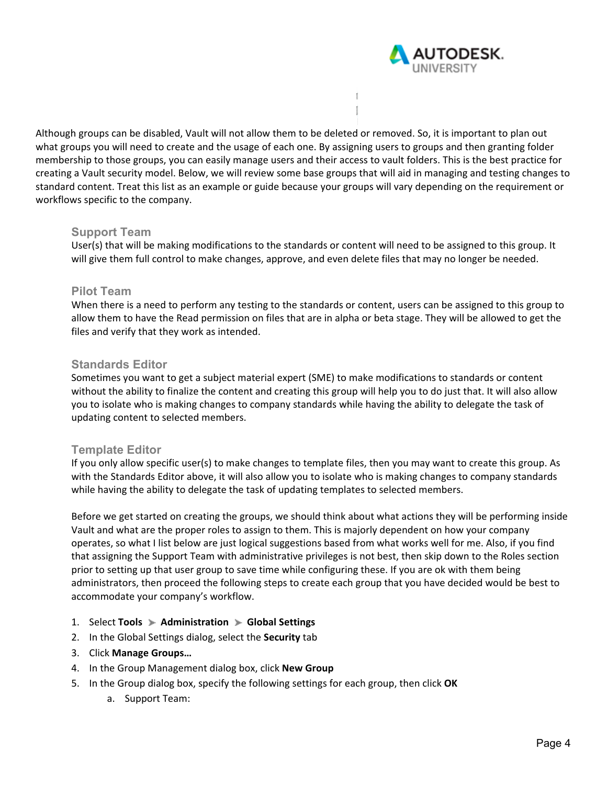

Although groups can be disabled, Vault will not allow them to be deleted or removed. So, it is important to plan out what groups you will need to create and the usage of each one. By assigning users to groups and then granting folder membership to those groups, you can easily manage users and their access to vault folders. This is the best practice for creating a Vault security model. Below, we will review some base groups that will aid in managing and testing changes to standard content. Treat this list as an example or guide because your groups will vary depending on the requirement or workflows specific to the company.

f.

#### **Support Team**

User(s) that will be making modifications to the standards or content will need to be assigned to this group. It will give them full control to make changes, approve, and even delete files that may no longer be needed.

#### **Pilot Team**

When there is a need to perform any testing to the standards or content, users can be assigned to this group to allow them to have the Read permission on files that are in alpha or beta stage. They will be allowed to get the files and verify that they work as intended.

#### **Standards Editor**

Sometimes you want to get a subject material expert (SME) to make modifications to standards or content without the ability to finalize the content and creating this group will help you to do just that. It will also allow you to isolate who is making changes to company standards while having the ability to delegate the task of updating content to selected members.

#### **Template Editor**

If you only allow specific user(s) to make changes to template files, then you may want to create this group. As with the Standards Editor above, it will also allow you to isolate who is making changes to company standards while having the ability to delegate the task of updating templates to selected members.

Before we get started on creating the groups, we should think about what actions they will be performing inside Vault and what are the proper roles to assign to them. This is majorly dependent on how your company operates, so what I list below are just logical suggestions based from what works well for me. Also, if you find that assigning the Support Team with administrative privileges is not best, then skip down to the Roles section prior to setting up that user group to save time while configuring these. If you are ok with them being administrators, then proceed the following steps to create each group that you have decided would be best to accommodate your company's workflow.

- 1. Select **Tools Administration Global Settings**
- 2. In the Global Settings dialog, select the **Security** tab
- 3. Click **Manage Groups…**
- 4. In the Group Management dialog box, click **New Group**
- 5. In the Group dialog box, specify the following settings for each group, then click **OK**
	- a. Support Team: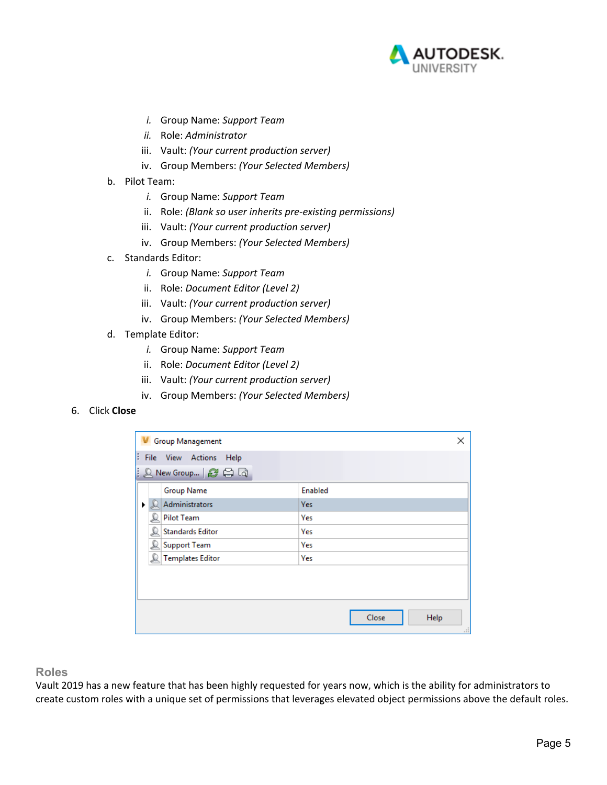

- *i.* Group Name: *Support Team*
- *ii.* Role: *Administrator*
- iii. Vault: *(Your current production server)*
- iv. Group Members: *(Your Selected Members)*
- b. Pilot Team:
	- *i.* Group Name: *Support Team*
	- ii. Role: *(Blank so user inherits pre‐existing permissions)*
	- iii. Vault: *(Your current production server)*
	- iv. Group Members: *(Your Selected Members)*
- c. Standards Editor:
	- *i.* Group Name: *Support Team*
	- ii. Role: *Document Editor (Level 2)*
	- iii. Vault: *(Your current production server)*
	- iv. Group Members: *(Your Selected Members)*
- d. Template Editor:
	- *i.* Group Name: *Support Team*
	- ii. Role: *Document Editor (Level 2)*
	- iii. Vault: *(Your current production server)*
	- iv. Group Members: *(Your Selected Members)*
- 6. Click **Close**

| <b>Group Management</b>         | ×                    |
|---------------------------------|----------------------|
| B.<br>File View Actions<br>Help |                      |
| : Q New Group…   @ 白 Q          |                      |
| <b>Group Name</b>               | Enabled              |
| Administrators<br>▶             | <b>Yes</b>           |
| <b>Pilot Team</b>               | Yes                  |
| <b>Standards Editor</b>         | Yes                  |
| <b>Support Team</b>             | Yes                  |
| <b>Templates Editor</b>         | Yes                  |
|                                 |                      |
|                                 |                      |
|                                 |                      |
|                                 | Close<br>Help<br>пĒ. |

**Roles** 

Vault 2019 has a new feature that has been highly requested for years now, which is the ability for administrators to create custom roles with a unique set of permissions that leverages elevated object permissions above the default roles.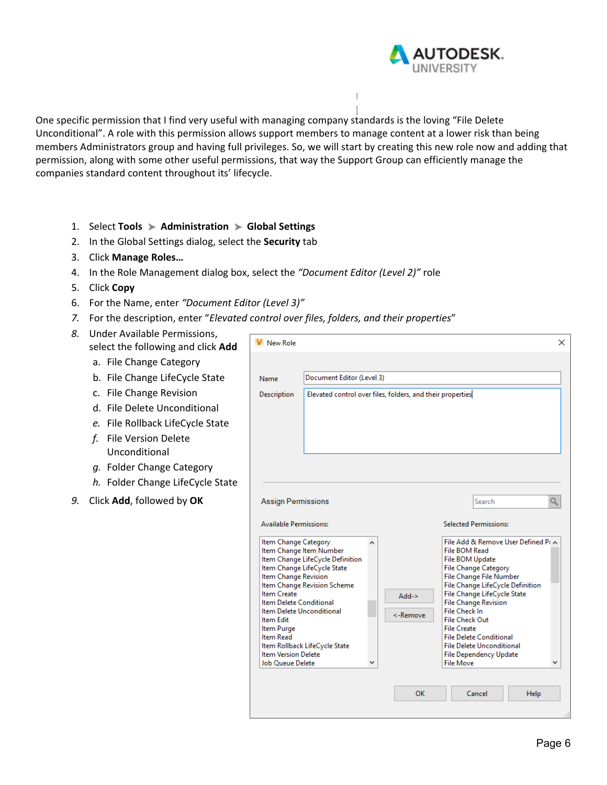

One specific permission that I find very useful with managing company standards is the loving "File Delete Unconditional". A role with this permission allows support members to manage content at a lower risk than being members Administrators group and having full privileges. So, we will start by creating this new role now and adding that permission, along with some other useful permissions, that way the Support Group can efficiently manage the companies standard content throughout its' lifecycle.

- 1. Select **Tools Administration Global Settings**
- 2. In the Global Settings dialog, select the **Security** tab
- 3. Click **Manage Roles…**
- 4. In the Role Management dialog box, select the *"Document Editor (Level 2)"* role
- 5. Click **Copy**
- 6. For the Name, enter *"Document Editor (Level 3)"*
- *7.* For the description, enter "*Elevated control over files, folders, and their properties*"
- *8.* Under Available Permissions, select the following and click **Add**
	- a. File Change Category
	- b. File Change LifeCycle State
	- c. File Change Revision
	- d. File Delete Unconditional
	- *e.* File Rollback LifeCycle State
	- *f.* File Version Delete Unconditional
	- *g.* Folder Change Category
	- *h.* Folder Change LifeCycle State
- *9.* Click **Add**, followed by **OK**

| <b>New Role</b>                                                                                                                                                                                                                                                                                  |                                                                                                                                                            |                           |                      |  |                                                                                                                                                                                                                                                                                                                                                                                                                                                                         |      | × |  |
|--------------------------------------------------------------------------------------------------------------------------------------------------------------------------------------------------------------------------------------------------------------------------------------------------|------------------------------------------------------------------------------------------------------------------------------------------------------------|---------------------------|----------------------|--|-------------------------------------------------------------------------------------------------------------------------------------------------------------------------------------------------------------------------------------------------------------------------------------------------------------------------------------------------------------------------------------------------------------------------------------------------------------------------|------|---|--|
| Name                                                                                                                                                                                                                                                                                             |                                                                                                                                                            |                           |                      |  |                                                                                                                                                                                                                                                                                                                                                                                                                                                                         |      |   |  |
|                                                                                                                                                                                                                                                                                                  |                                                                                                                                                            | Document Editor (Level 3) |                      |  |                                                                                                                                                                                                                                                                                                                                                                                                                                                                         |      |   |  |
| <b>Description</b>                                                                                                                                                                                                                                                                               | Elevated control over files, folders, and their properties                                                                                                 |                           |                      |  |                                                                                                                                                                                                                                                                                                                                                                                                                                                                         |      |   |  |
| <b>Assign Permissions</b><br><b>Available Permissions:</b><br>Item Change Category<br>Item Change Revision<br><b>Item Create</b><br>Item Delete Conditional<br>Item Delete Unconditional<br><b>Item Edit</b><br>Item Purge<br>Item Read<br><b>Item Version Delete</b><br><b>Job Oueue Delete</b> | Item Change Item Number<br>Item Change LifeCycle Definition<br>Item Change LifeCycle State<br>Item Change Revision Scheme<br>Item Rollback LifeCycle State | ۸                         | $Add$ -><br><-Remove |  | Search<br><b>Selected Permissions:</b><br>File Add & Remove User Defined PLA<br>File BOM Read<br>File BOM Update<br><b>File Change Category</b><br>File Change File Number<br>File Change LifeCycle Definition<br>File Change LifeCycle State<br><b>File Change Revision</b><br>File Check In<br><b>File Check Out</b><br><b>File Create</b><br><b>File Delete Conditional</b><br><b>File Delete Unconditional</b><br><b>File Dependency Update</b><br><b>File Move</b> |      |   |  |
|                                                                                                                                                                                                                                                                                                  |                                                                                                                                                            |                           | OK                   |  | Cancel                                                                                                                                                                                                                                                                                                                                                                                                                                                                  | Help |   |  |
|                                                                                                                                                                                                                                                                                                  |                                                                                                                                                            |                           |                      |  |                                                                                                                                                                                                                                                                                                                                                                                                                                                                         |      |   |  |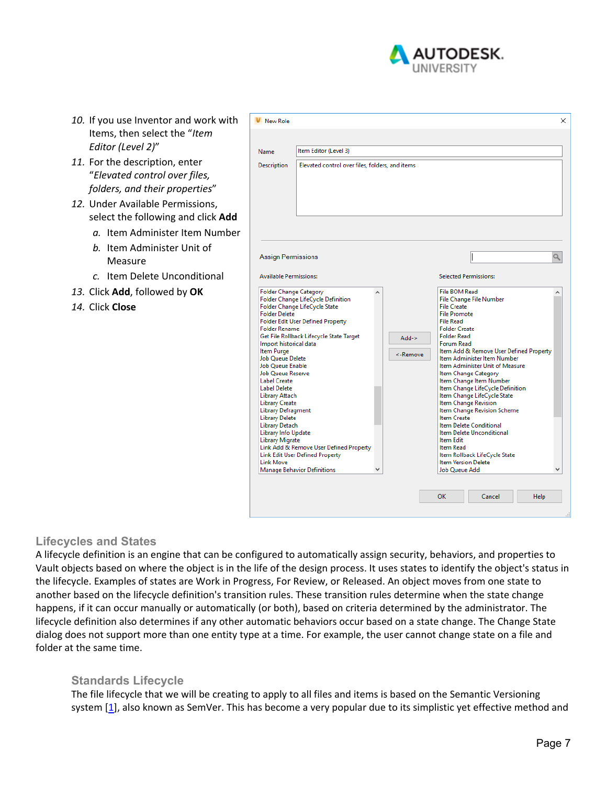

- *10.* If you use Inventor and work with Items, then select the "*Item Editor (Level 2)*"
- *11.* For the description, enter "*Elevated control over files, folders, and their properties*"
- *12.* Under Available Permissions, select the following and click **Add**
	- *a.* Item Administer Item Number
	- *b.* Item Administer Unit of Measure
	- *c.* Item Delete Unconditional
- *13.* Click **Add**, followed by **OK**
- *14.* Click **Close**

| <b>Description</b>                                                                                                                                                                                                                                                                                                                                                                                                       |                                                                                                                                                                                                                                                                                                        |                      |                                                                                                                                                                                                                                                                                                                                                                                                                                                                                                                                                                                                                                                                              |
|--------------------------------------------------------------------------------------------------------------------------------------------------------------------------------------------------------------------------------------------------------------------------------------------------------------------------------------------------------------------------------------------------------------------------|--------------------------------------------------------------------------------------------------------------------------------------------------------------------------------------------------------------------------------------------------------------------------------------------------------|----------------------|------------------------------------------------------------------------------------------------------------------------------------------------------------------------------------------------------------------------------------------------------------------------------------------------------------------------------------------------------------------------------------------------------------------------------------------------------------------------------------------------------------------------------------------------------------------------------------------------------------------------------------------------------------------------------|
|                                                                                                                                                                                                                                                                                                                                                                                                                          | Elevated control over files, folders, and items                                                                                                                                                                                                                                                        |                      |                                                                                                                                                                                                                                                                                                                                                                                                                                                                                                                                                                                                                                                                              |
| Assign Permissions<br><b>Available Permissions:</b>                                                                                                                                                                                                                                                                                                                                                                      |                                                                                                                                                                                                                                                                                                        |                      | <b>Selected Permissions:</b>                                                                                                                                                                                                                                                                                                                                                                                                                                                                                                                                                                                                                                                 |
| <b>Folder Change Category</b><br><b>Folder Delete</b><br><b>Folder Rename</b><br>Import historical data<br>Item Purge<br>Job Queue Delete<br>Job Queue Enable<br><b>Job Queue Reserve</b><br><b>Label Create</b><br><b>Label Delete</b><br>Library Attach<br><b>Library Create</b><br>Library Defragment<br><b>Library Delete</b><br>Library Detach<br>Library Info Update<br><b>Library Migrate</b><br><b>Link Move</b> | Folder Change LifeCycle Definition<br>Folder Change LifeCycle State<br><b>Folder Edit User Defined Property</b><br>Get File Rollback Lifecycle State Target<br>Link Add & Remove User Defined Property<br><b>Link Edit User Defined Property</b><br><b>Manage Behavior Definitions</b><br>$\checkmark$ | $Add$ -><br><-Remove | <b>File BOM Read</b><br>File Change File Number<br><b>File Create</b><br><b>File Promote</b><br><b>File Read</b><br><b>Folder Create</b><br><b>Folder Read</b><br>Forum Read<br>Item Add & Remove User Defined Property<br>Item Administer Item Number<br>Item Administer Unit of Measure<br>Item Change Category<br>Item Change Item Number<br>Item Change LifeCycle Definition<br>Item Change LifeCycle State<br>Item Change Revision<br>Item Change Revision Scheme<br><b>Item Create</b><br>Item Delete Conditional<br>Item Delete Unconditional<br><b>Item Edit</b><br>Item Read<br>Item Rollback LifeCycle State<br><b>Item Version Delete</b><br><b>Job Oueue Add</b> |

#### **Lifecycles and States**

A lifecycle definition is an engine that can be configured to automatically assign security, behaviors, and properties to Vault objects based on where the object is in the life of the design process. It uses states to identify the object's status in the lifecycle. Examples of states are Work in Progress, For Review, or Released. An object moves from one state to another based on the lifecycle definition's transition rules. These transition rules determine when the state change happens, if it can occur manually or automatically (or both), based on criteria determined by the administrator. The lifecycle definition also determines if any other automatic behaviors occur based on a state change. The Change State dialog does not support more than one entity type at a time. For example, the user cannot change state on a file and folder at the same time.

#### **Standards Lifecycle**

The file lifecycle that we will be creating to apply to all files and items is based on the Semantic Versioning system [1], also known as SemVer. This has become a very popular due to its simplistic yet effective method and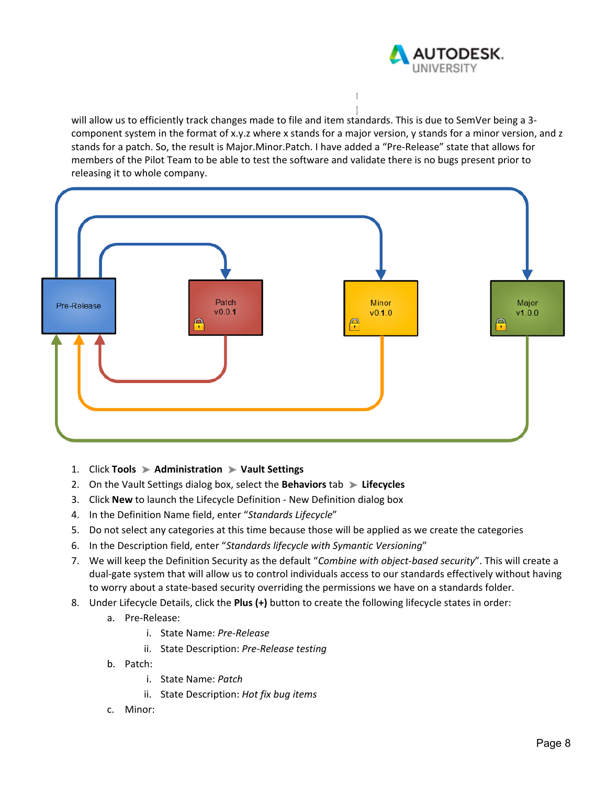

will allow us to efficiently track changes made to file and item standards. This is due to SemVer being a 3component system in the format of x.y.z where x stands for a major version, y stands for a minor version, and z stands for a patch. So, the result is Major.Minor.Patch. I have added a "Pre‐Release" state that allows for members of the Pilot Team to be able to test the software and validate there is no bugs present prior to releasing it to whole company.

f.



- 1. Click **Tools Administration Vault Settings**
- 2. On the Vault Settings dialog box, select the **Behaviors** tab **Lifecycles**
- 3. Click **New** to launch the Lifecycle Definition ‐ New Definition dialog box
- 4. In the Definition Name field, enter "*Standards Lifecycle*"
- 5. Do not select any categories at this time because those will be applied as we create the categories
- 6. In the Description field, enter "*Standards lifecycle with Symantic Versioning*"
- 7. We will keep the Definition Security as the default "*Combine with object‐based security*". This will create a dual‐gate system that will allow us to control individuals access to our standards effectively without having to worry about a state‐based security overriding the permissions we have on a standards folder.
- 8. Under Lifecycle Details, click the **Plus (+)** button to create the following lifecycle states in order:
	- a. Pre‐Release:
		- i. State Name: *Pre‐Release*
		- ii. State Description: *Pre‐Release testing*
	- b. Patch:
		- i. State Name: *Patch*
		- ii. State Description: *Hot fix bug items*
	- c. Minor: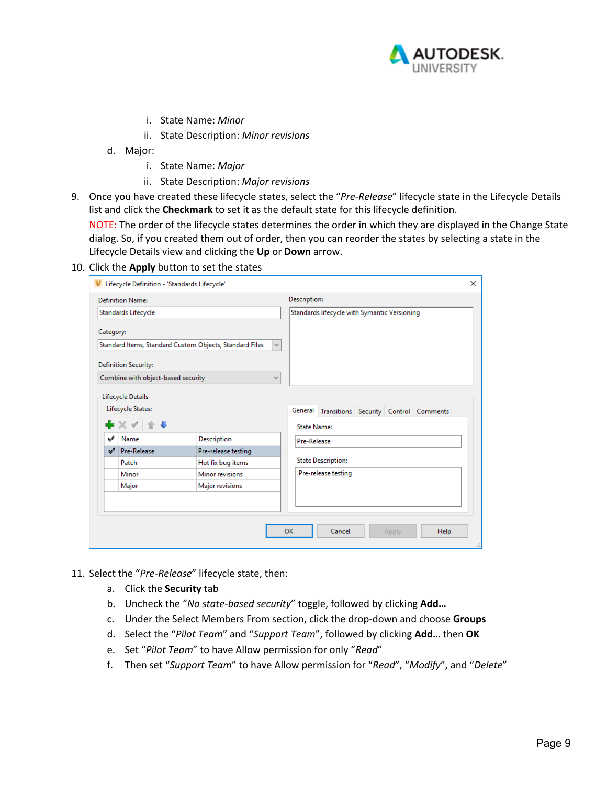

- i. State Name: *Minor*
- ii. State Description: *Minor revisions*
- d. Major:
	- i. State Name: *Major*
	- ii. State Description: *Major revisions*
- 9. Once you have created these lifecycle states, select the "*Pre‐Release*" lifecycle state in the Lifecycle Details list and click the **Checkmark** to set it as the default state for this lifecycle definition.

NOTE: The order of the lifecycle states determines the order in which they are displayed in the Change State dialog. So, if you created them out of order, then you can reorder the states by selecting a state in the Lifecycle Details view and clicking the **Up** or **Down** arrow.

#### 10. Click the **Apply** button to set the states

|           | <b>Definition Name:</b>            |                                                                         | Description:                                  |  |
|-----------|------------------------------------|-------------------------------------------------------------------------|-----------------------------------------------|--|
|           | Standards Lifecycle                |                                                                         | Standards lifecycle with Symantic Versioning  |  |
| Category: |                                    |                                                                         |                                               |  |
|           |                                    | Standard Items, Standard Custom Objects, Standard Files<br>$\checkmark$ |                                               |  |
|           | <b>Definition Security:</b>        |                                                                         |                                               |  |
|           | Combine with object-based security | $\checkmark$                                                            |                                               |  |
|           |                                    |                                                                         |                                               |  |
|           | Lifecycle Details                  |                                                                         |                                               |  |
|           | Lifecycle States:                  |                                                                         | General Transitions Security Control Comments |  |
|           | ╋ ╳ <b>✓ │</b> ∕ ♥                 |                                                                         | <b>State Name:</b>                            |  |
| ✔         | Name                               | Description                                                             | Pre-Release                                   |  |
| ৶         | Pre-Release                        | Pre-release testing                                                     |                                               |  |
|           | Patch                              | Hot fix bug items                                                       | <b>State Description:</b>                     |  |
|           | Minor                              | Minor revisions                                                         | Pre-release testing                           |  |
|           | Major                              | Major revisions                                                         |                                               |  |
|           |                                    |                                                                         |                                               |  |
|           |                                    |                                                                         |                                               |  |
|           |                                    |                                                                         |                                               |  |
|           |                                    |                                                                         | OK<br>Cancel<br>Help<br>Apply                 |  |

- 11. Select the "*Pre‐Release*" lifecycle state, then:
	- a. Click the **Security** tab
	- b. Uncheck the "*No state‐based security*" toggle, followed by clicking **Add…**
	- c. Under the Select Members From section, click the drop‐down and choose **Groups**
	- d. Select the "*Pilot Team*" and "*Support Team*", followed by clicking **Add…** then **OK**
	- e. Set "*Pilot Team*" to have Allow permission for only "*Read*"
	- f. Then set "*Support Team*" to have Allow permission for "*Read*", "*Modify*", and "*Delete*"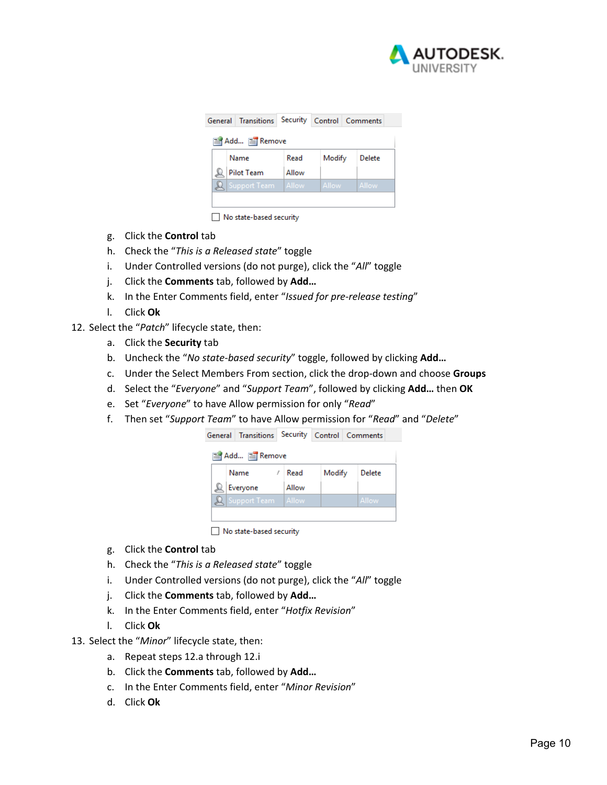

| Add E Remove      |              |  |                                                                         |  |  |  |  |
|-------------------|--------------|--|-------------------------------------------------------------------------|--|--|--|--|
| Name              | Read         |  | Delete                                                                  |  |  |  |  |
| <b>Pilot Team</b> | Allow        |  |                                                                         |  |  |  |  |
|                   | Allow        |  | Allow                                                                   |  |  |  |  |
|                   |              |  |                                                                         |  |  |  |  |
|                   | Support Team |  | General Transitions Security Control Comments<br>Modify<br><b>Allow</b> |  |  |  |  |

No state-based security

- g. Click the **Control** tab
- h. Check the "*This is a Released state*" toggle
- i. Under Controlled versions (do not purge), click the "*All*" toggle
- j. Click the **Comments** tab, followed by **Add…**
- k. In the Enter Comments field, enter "*Issued for pre‐release testing*"
- l. Click **Ok**
- 12. Select the "*Patch*" lifecycle state, then:
	- a. Click the **Security** tab
	- b. Uncheck the "*No state‐based security*" toggle, followed by clicking **Add…**
	- c. Under the Select Members From section, click the drop‐down and choose **Groups**
	- d. Select the "*Everyone*" and "*Support Team*", followed by clicking **Add…** then **OK**
	- e. Set "*Everyone*" to have Allow permission for only "*Read*"
	- f. Then set "*Support Team*" to have Allow permission for "*Read*" and "*Delete*"

|               | General Transitions Security Control Comments |           |        |        |  |
|---------------|-----------------------------------------------|-----------|--------|--------|--|
| Add E Remove  |                                               |           |        |        |  |
|               | Name                                          | Read<br>1 | Modify | Delete |  |
|               | Everyone                                      | Allow     |        |        |  |
| $\mathcal{L}$ | Support Team                                  | Allow     |        | Allow  |  |
|               |                                               |           |        |        |  |

No state-based security

- g. Click the **Control** tab
- h. Check the "*This is a Released state*" toggle
- i. Under Controlled versions (do not purge), click the "*All*" toggle
- j. Click the **Comments** tab, followed by **Add…**
- k. In the Enter Comments field, enter "*Hotfix Revision*"
- l. Click **Ok**
- 13. Select the "*Minor*" lifecycle state, then:
	- a. Repeat steps 12.a through 12.i
	- b. Click the **Comments** tab, followed by **Add…**
	- c. In the Enter Comments field, enter "*Minor Revision*"
	- d. Click **Ok**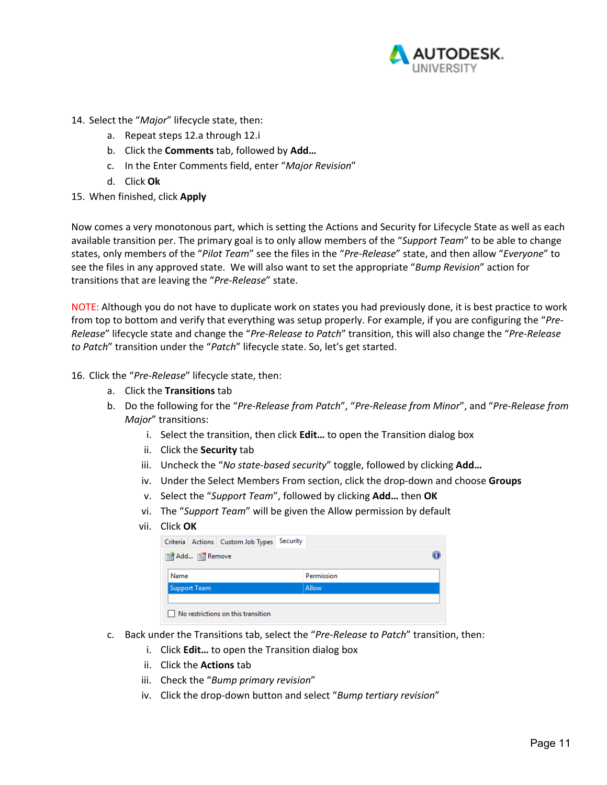

- 14. Select the "*Major*" lifecycle state, then:
	- a. Repeat steps 12.a through 12.i
	- b. Click the **Comments** tab, followed by **Add…**
	- c. In the Enter Comments field, enter "*Major Revision*"
	- d. Click **Ok**
- 15. When finished, click **Apply**

Now comes a very monotonous part, which is setting the Actions and Security for Lifecycle State as well as each available transition per. The primary goal is to only allow members of the "*Support Team*" to be able to change states, only members of the "*Pilot Team*" see the files in the "*Pre‐Release*" state, and then allow "*Everyone*" to see the files in any approved state. We will also want to set the appropriate "*Bump Revision*" action for transitions that are leaving the "*Pre‐Release*" state.

NOTE: Although you do not have to duplicate work on states you had previously done, it is best practice to work from top to bottom and verify that everything was setup properly. For example, if you are configuring the "*Pre‐ Release*" lifecycle state and change the "*Pre‐Release to Patch*" transition, this will also change the "*Pre‐Release to Patch*" transition under the "*Patch*" lifecycle state. So, let's get started.

- 16. Click the "*Pre‐Release*" lifecycle state, then:
	- a. Click the **Transitions** tab
	- b. Do the following for the "*Pre‐Release from Patch*", "*Pre‐Release from Minor*", and "*Pre‐Release from Major*" transitions:
		- i. Select the transition, then click **Edit…** to open the Transition dialog box
		- ii. Click the **Security** tab
		- iii. Uncheck the "*No state‐based security*" toggle, followed by clicking **Add…**
		- iv. Under the Select Members From section, click the drop-down and choose **Groups**
		- v. Select the "*Support Team*", followed by clicking **Add…** then **OK**
		- vi. The "*Support Team*" will be given the Allow permission by default
		- vii. Click **OK**

| Criteria Actions Custom Job Types Security |            |  |
|--------------------------------------------|------------|--|
| Add FRemove                                |            |  |
| Name                                       | Permission |  |
| <b>Support Team</b>                        | Allow      |  |
|                                            |            |  |
| No restrictions on this transition         |            |  |

- c. Back under the Transitions tab, select the "*Pre‐Release to Patch*" transition, then:
	- i. Click **Edit…** to open the Transition dialog box
	- ii. Click the **Actions** tab
	- iii. Check the "*Bump primary revision*"
	- iv. Click the drop‐down button and select "*Bump tertiary revision*"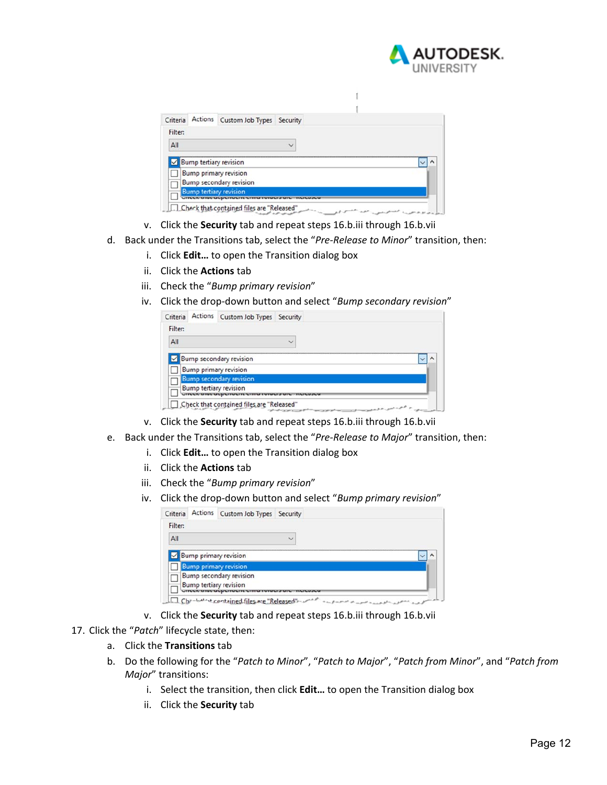

| Criteria |                             | Actions Custom Job Types Security |  |  |
|----------|-----------------------------|-----------------------------------|--|--|
| Filter:  |                             |                                   |  |  |
| All      |                             |                                   |  |  |
|          |                             | $\sqrt{ }$ Bump tertiary revision |  |  |
|          |                             | <b>Bump primary revision</b>      |  |  |
|          |                             | <b>Bump secondary revision</b>    |  |  |
|          | <b>INSER SHOP OCPETIONS</b> | <b>Bump tertiary revision</b>     |  |  |

- v. Click the **Security** tab and repeat steps 16.b.iii through 16.b.vii
- d. Back under the Transitions tab, select the "*Pre‐Release to Minor*" transition, then:
	- i. Click **Edit…** to open the Transition dialog box
	- ii. Click the **Actions** tab
	- iii. Check the "*Bump primary revision*"
	- iv. Click the drop‐down button and select "*Bump secondary revision*"

| Criteria | Actions Custom Job Types Security         |              |  |
|----------|-------------------------------------------|--------------|--|
| Filter:  |                                           |              |  |
| All      |                                           | $\checkmark$ |  |
|          | $\vee$ Bump secondary revision            |              |  |
|          | <b>Bump primary revision</b>              |              |  |
|          | <b>Bump secondary revision</b>            |              |  |
|          | <b>Bump tertiary revision</b>             |              |  |
|          | Check that contained files are "Released" | re at all    |  |

- v. Click the **Security** tab and repeat steps 16.b.iii through 16.b.vii
- e. Back under the Transitions tab, select the "*Pre‐Release to Major*" transition, then:
	- i. Click **Edit…** to open the Transition dialog box
	- ii. Click the **Actions** tab
	- iii. Check the "*Bump primary revision*"
	- iv. Click the drop‐down button and select "*Bump primary revision*"

| Criteria | Actions Custom Job Types Security |              |  |
|----------|-----------------------------------|--------------|--|
| Filter:  |                                   |              |  |
| All      |                                   | $\checkmark$ |  |
|          | $\sqrt{\ }$ Bump primary revision |              |  |
|          | <b>Bump primary revision</b>      |              |  |
|          | <b>Bump secondary revision</b>    |              |  |
|          | <b>Bump tertiary revision</b>     |              |  |

- v. Click the **Security** tab and repeat steps 16.b.iii through 16.b.vii
- 17. Click the "*Patch*" lifecycle state, then:
	- a. Click the **Transitions** tab
	- b. Do the following for the "*Patch to Minor*", "*Patch to Major*", "*Patch from Minor*", and "*Patch from Major*" transitions:
		- i. Select the transition, then click **Edit…** to open the Transition dialog box
		- ii. Click the **Security** tab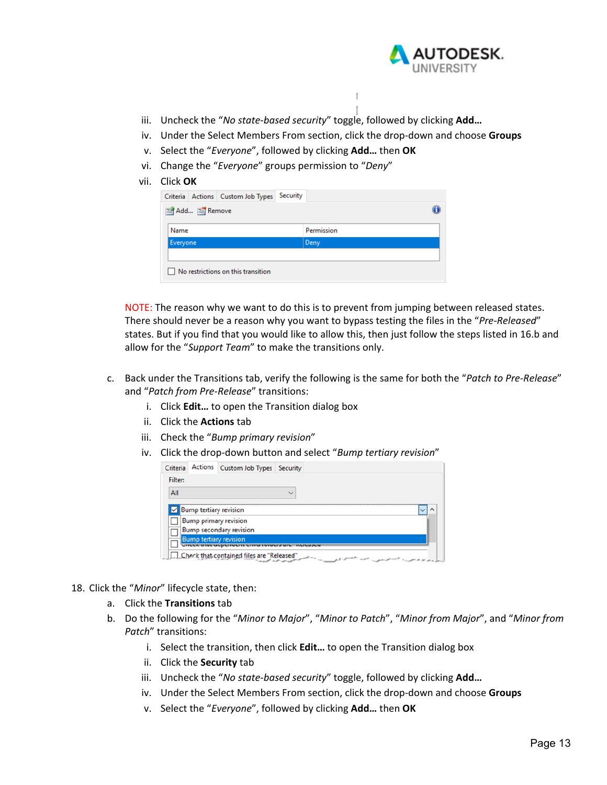

- iii. Uncheck the "No state-based security" toggle, followed by clicking Add...
- iv. Under the Select Members From section, click the drop‐down and choose **Groups**
- v. Select the "*Everyone*", followed by clicking **Add…** then **OK**
- vi. Change the "*Everyone*" groups permission to "*Deny*"
- vii. Click **OK**

| Criteria Actions Custom Job Types Security |            |  |
|--------------------------------------------|------------|--|
| 图 Add 图 Remove                             |            |  |
| Name                                       | Permission |  |
| Everyone                                   | Deny       |  |
| No restrictions on this transition         |            |  |

NOTE: The reason why we want to do this is to prevent from jumping between released states. There should never be a reason why you want to bypass testing the files in the "*Pre‐Released*" states. But if you find that you would like to allow this, then just follow the steps listed in 16.b and allow for the "*Support Team*" to make the transitions only.

- c. Back under the Transitions tab, verify the following is the same for both the "*Patch to Pre‐Release*" and "*Patch from Pre‐Release*" transitions:
	- i. Click **Edit…** to open the Transition dialog box
	- ii. Click the **Actions** tab
	- iii. Check the "*Bump primary revision*"
	- iv. Click the drop‐down button and select "*Bump tertiary revision*"

|  | $\overline{\phantom{a}}$                                                                                                                                      |                                   |
|--|---------------------------------------------------------------------------------------------------------------------------------------------------------------|-----------------------------------|
|  |                                                                                                                                                               |                                   |
|  |                                                                                                                                                               |                                   |
|  |                                                                                                                                                               |                                   |
|  | <b>Bump tertiary revision</b><br><b>Bump primary revision</b><br><b>Bump secondary revision</b><br><b>Bump tertiary revision</b><br><b>ILLA LITUL ULULITU</b> | Actions Custom Job Types Security |

- 18. Click the "*Minor*" lifecycle state, then:
	- a. Click the **Transitions** tab
	- b. Do the following for the "*Minor to Major*", "*Minor to Patch*", "*Minor from Major*", and "*Minor from Patch*" transitions:
		- i. Select the transition, then click **Edit…** to open the Transition dialog box
		- ii. Click the **Security** tab
		- iii. Uncheck the "*No state‐based security*" toggle, followed by clicking **Add…**
		- iv. Under the Select Members From section, click the drop-down and choose **Groups**
		- v. Select the "*Everyone*", followed by clicking **Add…** then **OK**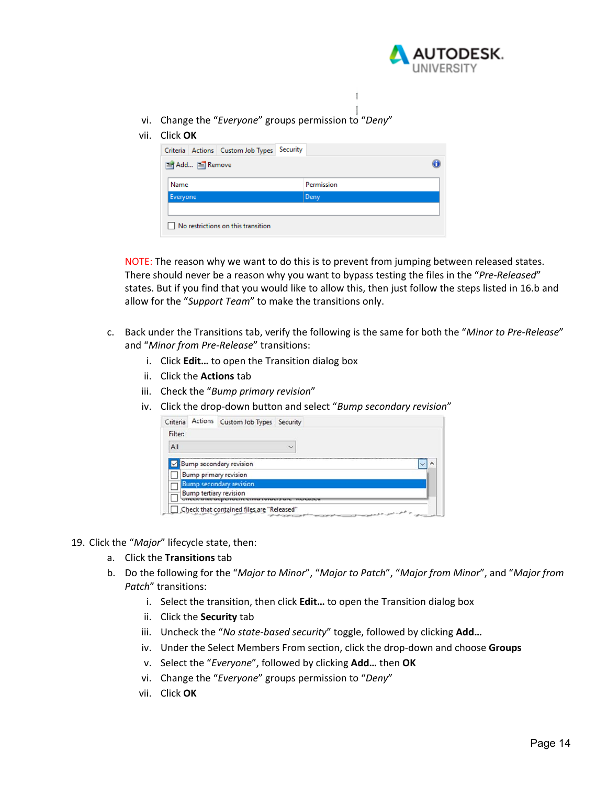

vi. Change the "*Everyone*" groups permission to "*Deny*"

#### vii. Click **OK**

|          | Add FRemove |  |            |      |  |
|----------|-------------|--|------------|------|--|
| Name     |             |  | Permission |      |  |
| Everyone |             |  |            | Deny |  |

NOTE: The reason why we want to do this is to prevent from jumping between released states. There should never be a reason why you want to bypass testing the files in the "*Pre‐Released*" states. But if you find that you would like to allow this, then just follow the steps listed in 16.b and allow for the "*Support Team*" to make the transitions only.

- c. Back under the Transitions tab, verify the following is the same for both the "*Minor to Pre‐Release*" and "*Minor from Pre‐Release*" transitions:
	- i. Click **Edit…** to open the Transition dialog box
	- ii. Click the **Actions** tab
	- iii. Check the "*Bump primary revision*"
	- iv. Click the drop‐down button and select "*Bump secondary revision*"

| Criteria | Actions Custom Job Types Security         |                    |
|----------|-------------------------------------------|--------------------|
| Filter:  |                                           |                    |
| All      |                                           |                    |
|          | $\vee$ Bump secondary revision            |                    |
|          | <b>Bump primary revision</b>              |                    |
|          | <b>Bump secondary revision</b>            |                    |
|          | <b>Bump tertiary revision</b>             |                    |
|          | Check that contained files are "Released" | and the state of a |

- 19. Click the "*Major*" lifecycle state, then:
	- a. Click the **Transitions** tab
	- b. Do the following for the "*Major to Minor*", "*Major to Patch*", "*Major from Minor*", and "*Major from Patch*" transitions:
		- i. Select the transition, then click **Edit…** to open the Transition dialog box
		- ii. Click the **Security** tab
		- iii. Uncheck the "*No state‐based security*" toggle, followed by clicking **Add…**
		- iv. Under the Select Members From section, click the drop‐down and choose **Groups**
		- v. Select the "*Everyone*", followed by clicking **Add…** then **OK**
		- vi. Change the "*Everyone*" groups permission to "*Deny*"
		- vii. Click **OK**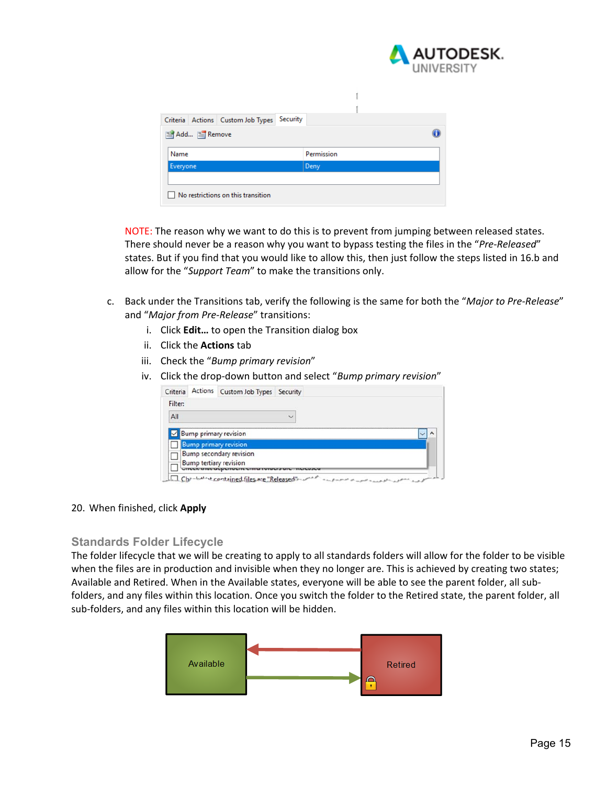

|                  | Criteria Actions Custom Job Types | Security |            |  |
|------------------|-----------------------------------|----------|------------|--|
| Add FRemove      |                                   |          |            |  |
|                  |                                   |          | Permission |  |
| Name<br>Everyone |                                   |          |            |  |
|                  |                                   |          | Deny       |  |
|                  |                                   |          |            |  |

NOTE: The reason why we want to do this is to prevent from jumping between released states. There should never be a reason why you want to bypass testing the files in the "*Pre‐Released*" states. But if you find that you would like to allow this, then just follow the steps listed in 16.b and allow for the "*Support Team*" to make the transitions only.

- c. Back under the Transitions tab, verify the following is the same for both the "*Major to Pre‐Release*" and "*Major from Pre‐Release*" transitions:
	- i. Click **Edit…** to open the Transition dialog box
	- ii. Click the **Actions** tab
	- iii. Check the "*Bump primary revision*"
	- iv. Click the drop‐down button and select "*Bump primary revision*"

| Criteria |                              | Actions Custom Job Types Security |  |
|----------|------------------------------|-----------------------------------|--|
| Filter:  |                              |                                   |  |
| All      |                              |                                   |  |
|          |                              | $\vee$ Bump primary revision      |  |
|          | <b>Bump primary revision</b> |                                   |  |

#### 20. When finished, click **Apply**

#### **Standards Folder Lifecycle**

The folder lifecycle that we will be creating to apply to all standards folders will allow for the folder to be visible when the files are in production and invisible when they no longer are. This is achieved by creating two states; Available and Retired. When in the Available states, everyone will be able to see the parent folder, all sub‐ folders, and any files within this location. Once you switch the folder to the Retired state, the parent folder, all sub-folders, and any files within this location will be hidden.

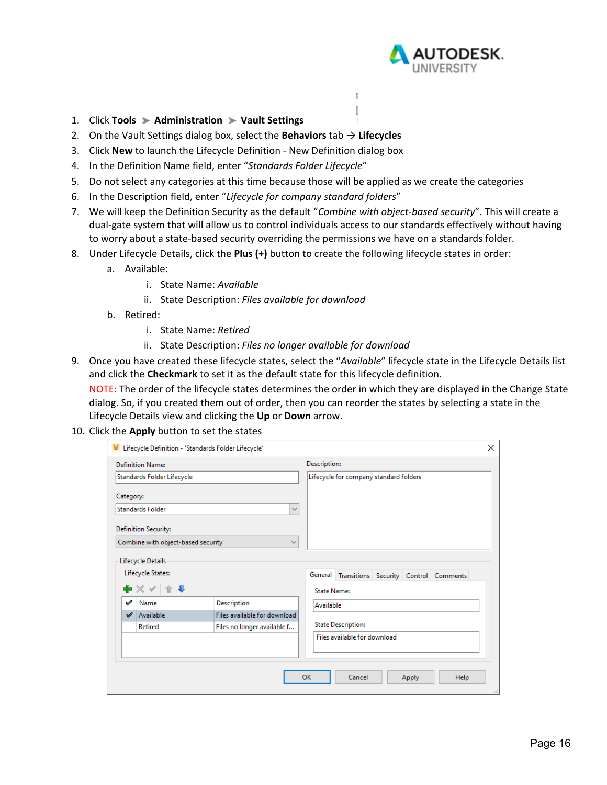

- 1. Click **Tools Administration Vault Settings**
- 2. On the Vault Settings dialog box, select the **Behaviors** tab → **Lifecycles**
- 3. Click **New** to launch the Lifecycle Definition ‐ New Definition dialog box
- 4. In the Definition Name field, enter "*Standards Folder Lifecycle*"
- 5. Do not select any categories at this time because those will be applied as we create the categories
- 6. In the Description field, enter "*Lifecycle for company standard folders*"
- 7. We will keep the Definition Security as the default "*Combine with object‐based security*". This will create a dual‐gate system that will allow us to control individuals access to our standards effectively without having to worry about a state‐based security overriding the permissions we have on a standards folder.

f.

- 8. Under Lifecycle Details, click the **Plus (+)** button to create the following lifecycle states in order:
	- a. Available:
		- i. State Name: *Available*
		- ii. State Description: *Files available for download*
	- b. Retired:
		- i. State Name: *Retired*
		- ii. State Description: *Files no longer available for download*
- 9. Once you have created these lifecycle states, select the "*Available*" lifecycle state in the Lifecycle Details list and click the **Checkmark** to set it as the default state for this lifecycle definition.

NOTE: The order of the lifecycle states determines the order in which they are displayed in the Change State dialog. So, if you created them out of order, then you can reorder the states by selecting a state in the Lifecycle Details view and clicking the **Up** or **Down** arrow.

#### 10. Click the **Apply** button to set the states

|                             |                                    | Lifecycle Definition - 'Standards Folder Lifecycle' |                    |                                               |       |      | $\times$ |
|-----------------------------|------------------------------------|-----------------------------------------------------|--------------------|-----------------------------------------------|-------|------|----------|
| <b>Definition Name:</b>     |                                    |                                                     | Description:       |                                               |       |      |          |
|                             | Standards Folder Lifecycle         |                                                     |                    | Lifecycle for company standard folders        |       |      |          |
| Category:                   |                                    |                                                     |                    |                                               |       |      |          |
| <b>Standards Folder</b>     |                                    | $\checkmark$                                        |                    |                                               |       |      |          |
| <b>Definition Security:</b> |                                    |                                                     |                    |                                               |       |      |          |
|                             | Combine with object-based security | $\checkmark$                                        |                    |                                               |       |      |          |
| Lifecycle Details           |                                    |                                                     |                    |                                               |       |      |          |
| Lifecycle States:           |                                    |                                                     |                    | General Transitions Security Control Comments |       |      |          |
| ╋ ╳ <b>✓ │</b> ∕ ╄          |                                    |                                                     | <b>State Name:</b> |                                               |       |      |          |
| ✔<br>Name                   |                                    | Description                                         | Available          |                                               |       |      |          |
| Available                   |                                    | Files available for download                        |                    |                                               |       |      |          |
| <b>Retired</b>              |                                    | Files no longer available f                         |                    | <b>State Description:</b>                     |       |      |          |
|                             |                                    |                                                     |                    | Files available for download                  |       |      |          |
|                             |                                    |                                                     |                    |                                               |       |      |          |
|                             |                                    |                                                     |                    |                                               |       |      |          |
|                             |                                    |                                                     | OK                 | Cancel                                        | Apply | Help |          |
|                             |                                    |                                                     |                    |                                               |       |      | п,       |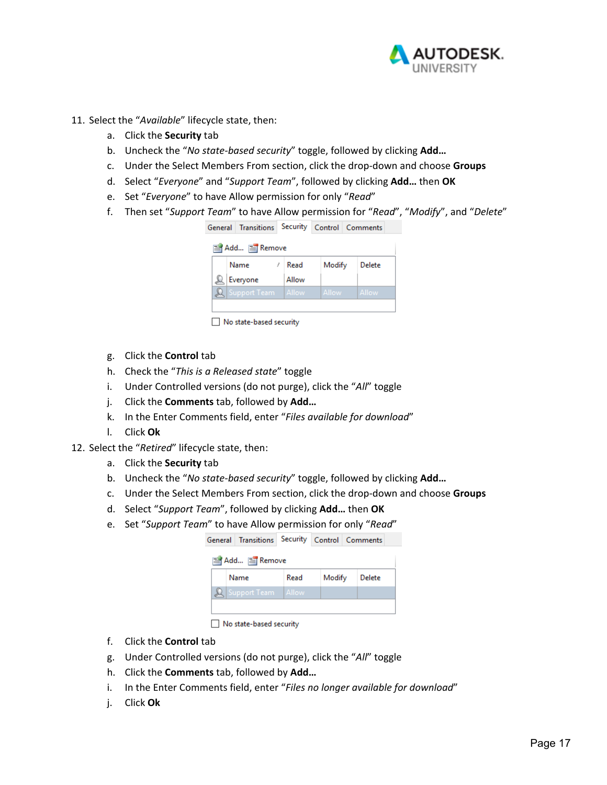

- 11. Select the "*Available*" lifecycle state, then:
	- a. Click the **Security** tab
	- b. Uncheck the "*No state‐based security*" toggle, followed by clicking **Add…**
	- c. Under the Select Members From section, click the drop‐down and choose **Groups**
	- d. Select "*Everyone*" and "*Support Team*", followed by clicking **Add…** then **OK**
	- e. Set "*Everyone*" to have Allow permission for only "*Read*"
	- f. Then set "*Support Team*" to have Allow permission for "*Read*", "*Modify*", and "*Delete*"

| General Transitions Security Control Comments |       |         |        |  |
|-----------------------------------------------|-------|---------|--------|--|
| Add E Remove                                  |       |         |        |  |
| Name                                          | Read  | Modify  | Delete |  |
| Everyone                                      | Allow |         |        |  |
| <b>Support Team</b>                           | Allow | Allow - | Allow  |  |
|                                               |       |         |        |  |

No state-based security

- g. Click the **Control** tab
- h. Check the "*This is a Released state*" toggle
- i. Under Controlled versions (do not purge), click the "*All*" toggle
- j. Click the **Comments** tab, followed by **Add…**
- k. In the Enter Comments field, enter "*Files available for download*"
- l. Click **Ok**
- 12. Select the "*Retired*" lifecycle state, then:
	- a. Click the **Security** tab
	- b. Uncheck the "*No state‐based security*" toggle, followed by clicking **Add…**
	- c. Under the Select Members From section, click the drop‐down and choose **Groups**
	- d. Select "*Support Team*", followed by clicking **Add…** then **OK**
	- e. Set "*Support Team*" to have Allow permission for only "*Read*"

| General Transitions Security Control Comments |      |        |        |  |
|-----------------------------------------------|------|--------|--------|--|
| 图 Add 图 Remove                                |      |        |        |  |
| Name                                          | Read | Modify | Delete |  |
| <b>Q</b> Support Team Allow                   |      |        |        |  |
|                                               |      |        |        |  |

No state-based security

- f. Click the **Control** tab
- g. Under Controlled versions (do not purge), click the "*All*" toggle
- h. Click the **Comments** tab, followed by **Add…**
- i. In the Enter Comments field, enter "*Files no longer available for download*"
- j. Click **Ok**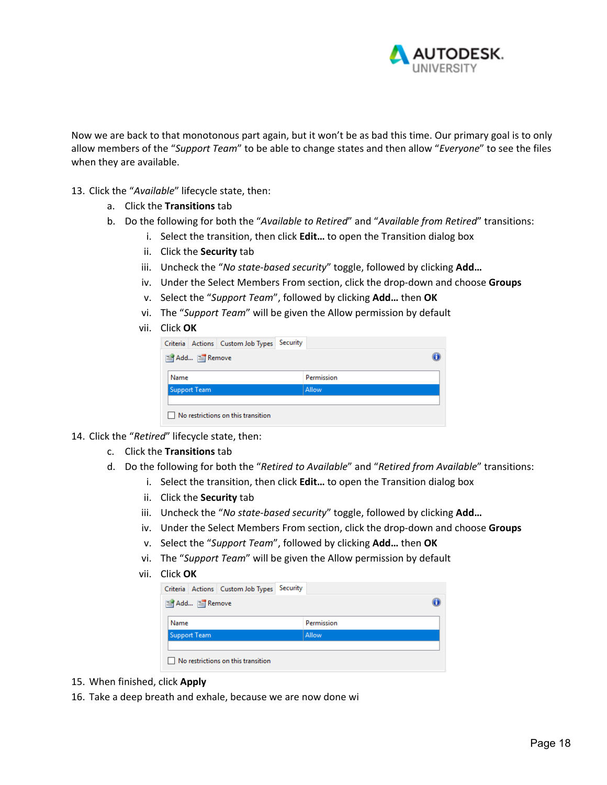

Now we are back to that monotonous part again, but it won't be as bad this time. Our primary goal is to only allow members of the "*Support Team*" to be able to change states and then allow "*Everyone*" to see the files when they are available.

- 13. Click the "*Available*" lifecycle state, then:
	- a. Click the **Transitions** tab
	- b. Do the following for both the "*Available to Retired*" and "*Available from Retired*" transitions:
		- i. Select the transition, then click **Edit…** to open the Transition dialog box
		- ii. Click the **Security** tab
		- iii. Uncheck the "*No state‐based security*" toggle, followed by clicking **Add…**
		- iv. Under the Select Members From section, click the drop‐down and choose **Groups**
		- v. Select the "*Support Team*", followed by clicking **Add…** then **OK**
		- vi. The "*Support Team*" will be given the Allow permission by default
		- vii. Click **OK**

| Permission |
|------------|
| Allow      |
|            |
|            |

- 14. Click the "*Retired*" lifecycle state, then:
	- c. Click the **Transitions** tab
	- d. Do the following for both the "*Retired to Available*" and "*Retired from Available*" transitions:
		- i. Select the transition, then click **Edit…** to open the Transition dialog box
		- ii. Click the **Security** tab
		- iii. Uncheck the "*No state‐based security*" toggle, followed by clicking **Add…**
		- iv. Under the Select Members From section, click the drop‐down and choose **Groups**
		- v. Select the "*Support Team*", followed by clicking **Add…** then **OK**
		- vi. The "*Support Team*" will be given the Allow permission by default
		- vii. Click **OK**

| Criteria Actions Custom Job Types                                 | Security |  |
|-------------------------------------------------------------------|----------|--|
| Add FRemove<br>Permission<br>Name<br>Allow<br><b>Support Team</b> |          |  |
|                                                                   |          |  |
|                                                                   |          |  |
|                                                                   |          |  |
|                                                                   |          |  |
| No restrictions on this transition                                |          |  |

- 15. When finished, click **Apply**
- 16. Take a deep breath and exhale, because we are now done wi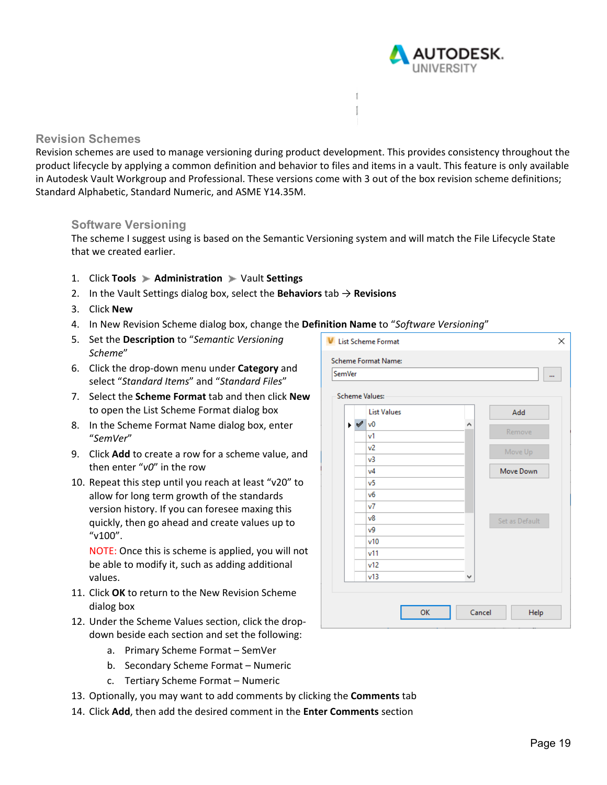

### **Revision Schemes**

Revision schemes are used to manage versioning during product development. This provides consistency throughout the product lifecycle by applying a common definition and behavior to files and items in a vault. This feature is only available in Autodesk Vault Workgroup and Professional. These versions come with 3 out of the box revision scheme definitions; Standard Alphabetic, Standard Numeric, and ASME Y14.35M.

 $\mathbb{I}$ 

#### **Software Versioning**

The scheme I suggest using is based on the Semantic Versioning system and will match the File Lifecycle State that we created earlier.

- 1. Click **Tools Administration** Vault **Settings**
- 2. In the Vault Settings dialog box, select the **Behaviors** tab → **Revisions**
- 3. Click **New**
- 4. In New Revision Scheme dialog box, change the **Definition Name** to "*Software Versioning*"
- 5. Set the **Description** to "*Semantic Versioning Scheme*"
- 6. Click the drop‐down menu under **Category** and select "*Standard Items*" and "*Standard Files*"
- 7. Select the **Scheme Format** tab and then click **New**  to open the List Scheme Format dialog box
- 8. In the Scheme Format Name dialog box, enter "*SemVer*"
- 9. Click **Add** to create a row for a scheme value, and then enter "*v0*" in the row
- 10. Repeat this step until you reach at least "v20" to allow for long term growth of the standards version history. If you can foresee maxing this quickly, then go ahead and create values up to "v100".

NOTE: Once this is scheme is applied, you will not be able to modify it, such as adding additional values.

- 11. Click **OK** to return to the New Revision Scheme dialog box
- 12. Under the Scheme Values section, click the drop‐ down beside each section and set the following:
	- a. Primary Scheme Format SemVer
	- b. Secondary Scheme Format Numeric
	- c. Tertiary Scheme Format Numeric
- 13. Optionally, you may want to add comments by clicking the **Comments** tab
- 14. Click **Add**, then add the desired comment in the **Enter Comments** section

| <b>SemVer</b> |                       |                       | m              |
|---------------|-----------------------|-----------------------|----------------|
|               |                       | <b>Scheme Values:</b> |                |
|               |                       | <b>List Values</b>    | Add            |
|               | $\blacktriangleright$ | v <sub>0</sub>        | ۸              |
|               |                       | v1                    | Remove         |
|               |                       | v2                    | Move Up        |
|               |                       | v3                    |                |
|               |                       | v4                    | Move Down      |
|               |                       | v5                    |                |
|               |                       | vб                    |                |
|               |                       | v7                    |                |
|               |                       | v8                    | Set as Default |
|               |                       | v9                    |                |
|               |                       | v10                   |                |
|               |                       | v11                   |                |
|               |                       | v12                   |                |
|               |                       | v13                   | v              |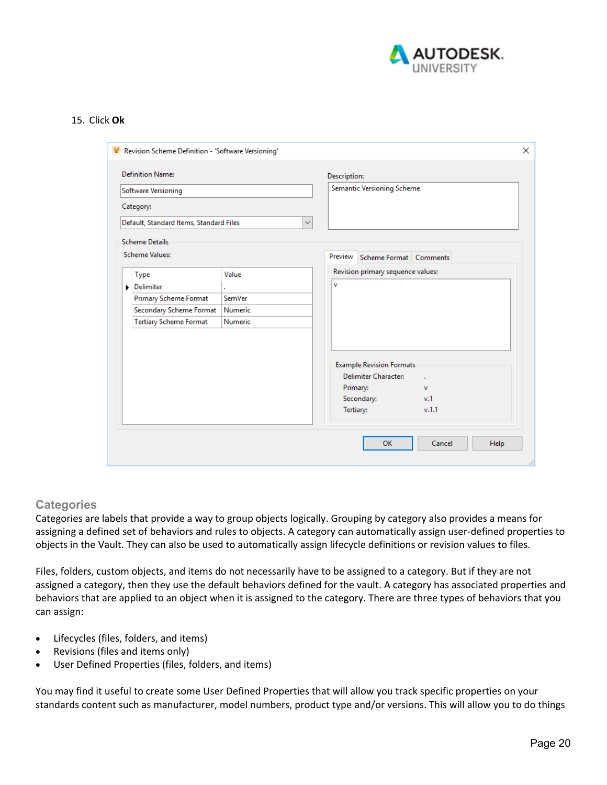

#### 15. Click **Ok**

| Software Versioning                     |         | <b>Description:</b><br>Semantic Versioning Scheme |  |
|-----------------------------------------|---------|---------------------------------------------------|--|
|                                         |         |                                                   |  |
| Category:                               |         |                                                   |  |
| Default, Standard Items, Standard Files |         | $\checkmark$                                      |  |
| <b>Scheme Details</b>                   |         |                                                   |  |
| <b>Scheme Values:</b>                   |         | Preview Scheme Format Comments                    |  |
| <b>Type</b>                             | Value   | Revision primary sequence values:                 |  |
| Delimiter                               |         | v                                                 |  |
| Primary Scheme Format                   | SemVer  |                                                   |  |
| Secondary Scheme Format                 | Numeric |                                                   |  |
| <b>Tertiary Scheme Format</b>           | Numeric |                                                   |  |
|                                         |         |                                                   |  |
|                                         |         |                                                   |  |
|                                         |         | <b>Example Revision Formats</b>                   |  |
|                                         |         | <b>Delimiter Character:</b><br>$\mathbf{r}$       |  |
|                                         |         | Primary:<br>$\mathbf v$                           |  |
|                                         |         | Secondary:<br>v.1                                 |  |
|                                         |         | Tertiary:<br>v.1.1                                |  |
|                                         |         |                                                   |  |

#### **Categories**

Categories are labels that provide a way to group objects logically. Grouping by category also provides a means for assigning a defined set of behaviors and rules to objects. A category can automatically assign user‐defined properties to objects in the Vault. They can also be used to automatically assign lifecycle definitions or revision values to files.

Files, folders, custom objects, and items do not necessarily have to be assigned to a category. But if they are not assigned a category, then they use the default behaviors defined for the vault. A category has associated properties and behaviors that are applied to an object when it is assigned to the category. There are three types of behaviors that you can assign:

- Lifecycles (files, folders, and items)
- Revisions (files and items only)
- User Defined Properties (files, folders, and items)

You may find it useful to create some User Defined Properties that will allow you track specific properties on your standards content such as manufacturer, model numbers, product type and/or versions. This will allow you to do things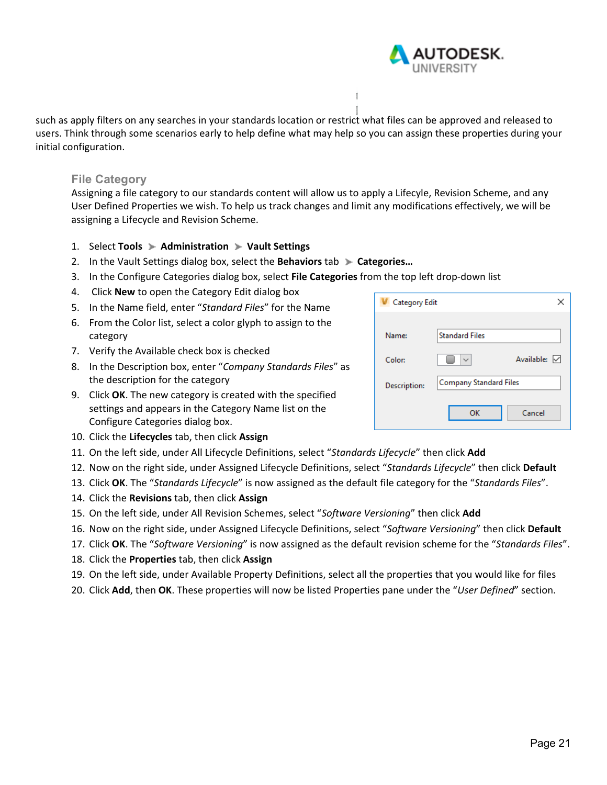

such as apply filters on any searches in your standards location or restrict what files can be approved and released to users. Think through some scenarios early to help define what may help so you can assign these properties during your initial configuration.

#### **File Category**

Assigning a file category to our standards content will allow us to apply a Lifecyle, Revision Scheme, and any User Defined Properties we wish. To help us track changes and limit any modifications effectively, we will be assigning a Lifecycle and Revision Scheme.

- 1. Select **Tools Administration Vault Settings**
- 2. In the Vault Settings dialog box, select the **Behaviors** tab **Categories…**
- 3. In the Configure Categories dialog box, select **File Categories** from the top left drop‐down list
- 4. Click **New** to open the Category Edit dialog box
- 5. In the Name field, enter "*Standard Files*" for the Name 6. From the Color list, select a color glyph to assign to the category
- 7. Verify the Available check box is checked
- 8. In the Description box, enter "*Company Standards Files*" as the description for the category
- 9. Click **OK**. The new category is created with the specified settings and appears in the Category Name list on the Configure Categories dialog box.

| Category Edit |                               |
|---------------|-------------------------------|
|               |                               |
| Name:         | <b>Standard Files</b>         |
| Color:        | Available: V                  |
| Description:  | <b>Company Standard Files</b> |
|               | OK<br>Cancel                  |

- 10. Click the **Lifecycles** tab, then click **Assign**
- 11. On the left side, under All Lifecycle Definitions, select "*Standards Lifecycle*" then click **Add**
- 12. Now on the right side, under Assigned Lifecycle Definitions, select "*Standards Lifecycle*" then click **Default**
- 13. Click **OK**. The "*Standards Lifecycle*" is now assigned as the default file category for the "*Standards Files*".
- 14. Click the **Revisions** tab, then click **Assign**
- 15. On the left side, under All Revision Schemes, select "*Software Versioning*" then click **Add**
- 16. Now on the right side, under Assigned Lifecycle Definitions, select "*Software Versioning*" then click **Default**
- 17. Click **OK**. The "*Software Versioning*" is now assigned as the default revision scheme for the "*Standards Files*".
- 18. Click the **Properties** tab, then click **Assign**
- 19. On the left side, under Available Property Definitions, select all the properties that you would like for files
- 20. Click **Add**, then **OK**. These properties will now be listed Properties pane under the "*User Defined*" section.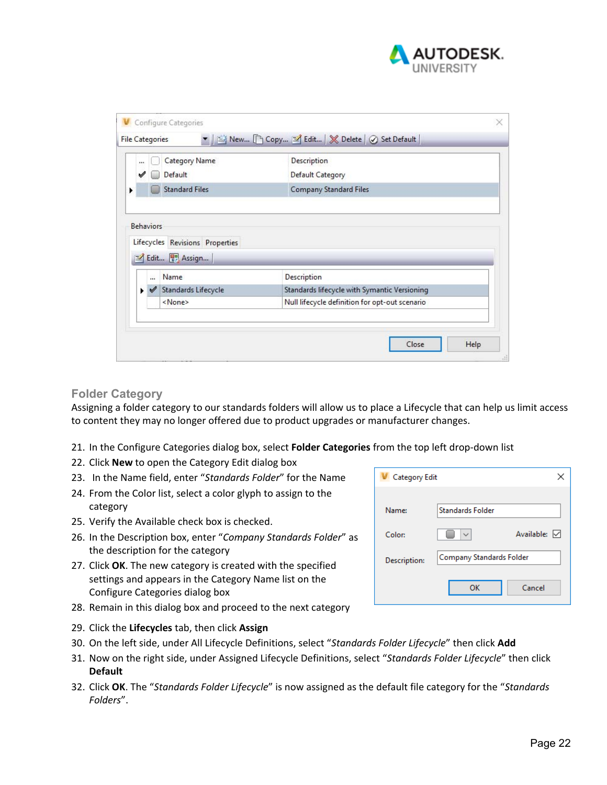

|            | <b>Category Name</b>                                    | Description                                  |
|------------|---------------------------------------------------------|----------------------------------------------|
|            | Default                                                 | Default Category                             |
|            | <b>Standard Files</b>                                   | <b>Company Standard Files</b>                |
|            | Lifecycles Revisions Properties<br>Edit <b>B</b> Assign |                                              |
| $\ddot{ }$ | Name                                                    | Description                                  |
|            | Standards Lifecycle                                     | Standards lifecycle with Symantic Versioning |

#### **Folder Category**

Assigning a folder category to our standards folders will allow us to place a Lifecycle that can help us limit access to content they may no longer offered due to product upgrades or manufacturer changes.

- 21. In the Configure Categories dialog box, select **Folder Categories** from the top left drop‐down list
- 22. Click **New** to open the Category Edit dialog box
- 23. In the Name field, enter "*Standards Folder*" for the Name
- 24. From the Color list, select a color glyph to assign to the category
- 25. Verify the Available check box is checked.
- 26. In the Description box, enter "*Company Standards Folder*" as the description for the category
- 27. Click **OK**. The new category is created with the specified settings and appears in the Category Name list on the Configure Categories dialog box
- 28. Remain in this dialog box and proceed to the next category
- 29. Click the **Lifecycles** tab, then click **Assign**
- 30. On the left side, under All Lifecycle Definitions, select "*Standards Folder Lifecycle*" then click **Add**
- 31. Now on the right side, under Assigned Lifecycle Definitions, select "*Standards Folder Lifecycle*" then click **Default**
- 32. Click **OK**. The "*Standards Folder Lifecycle*" is now assigned as the default file category for the "*Standards Folders*".

| <b>Category Edit</b> |                          |              |
|----------------------|--------------------------|--------------|
|                      |                          |              |
| Name:                | <b>Standards Folder</b>  |              |
| Color:               | $\checkmark$             | Available: √ |
| Description:         | Company Standards Folder |              |
|                      | OK                       | Cancel       |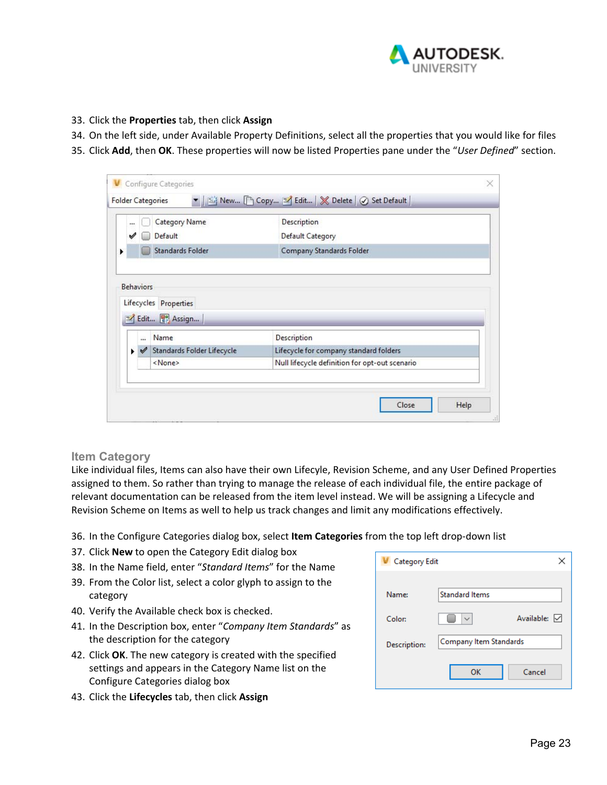

- 33. Click the **Properties** tab, then click **Assign**
- 34. On the left side, under Available Property Definitions, select all the properties that you would like for files
- 35. Click **Add**, then **OK**. These properties will now be listed Properties pane under the "*User Defined*" section.

|                      | Category Name                                 | Description                            |
|----------------------|-----------------------------------------------|----------------------------------------|
| ✔                    | Default                                       | Default Category                       |
|                      | <b>Standards Folder</b>                       | Company Standards Folder               |
|                      | Lifecycles Properties<br>Edit <b>B</b> Assign |                                        |
| $\ddot{\phantom{a}}$ | Name                                          | Description                            |
| ✔<br>н               | Standards Folder Lifecycle                    | Lifecycle for company standard folders |

#### **Item Category**

Like individual files, Items can also have their own Lifecyle, Revision Scheme, and any User Defined Properties assigned to them. So rather than trying to manage the release of each individual file, the entire package of relevant documentation can be released from the item level instead. We will be assigning a Lifecycle and Revision Scheme on Items as well to help us track changes and limit any modifications effectively.

- 36. In the Configure Categories dialog box, select **Item Categories** from the top left drop‐down list
- 37. Click **New** to open the Category Edit dialog box
- 38. In the Name field, enter "*Standard Items*" for the Name
- 39. From the Color list, select a color glyph to assign to the category
- 40. Verify the Available check box is checked.
- 41. In the Description box, enter "*Company Item Standards*" as the description for the category
- 42. Click **OK**. The new category is created with the specified settings and appears in the Category Name list on the Configure Categories dialog box
- 43. Click the **Lifecycles** tab, then click **Assign**

| <b>Category Edit</b> |                        |              |
|----------------------|------------------------|--------------|
|                      |                        |              |
| Name:                | <b>Standard Items</b>  |              |
| Color:               |                        | Available: √ |
| Description:         | Company Item Standards |              |
|                      | OK                     | Cancel       |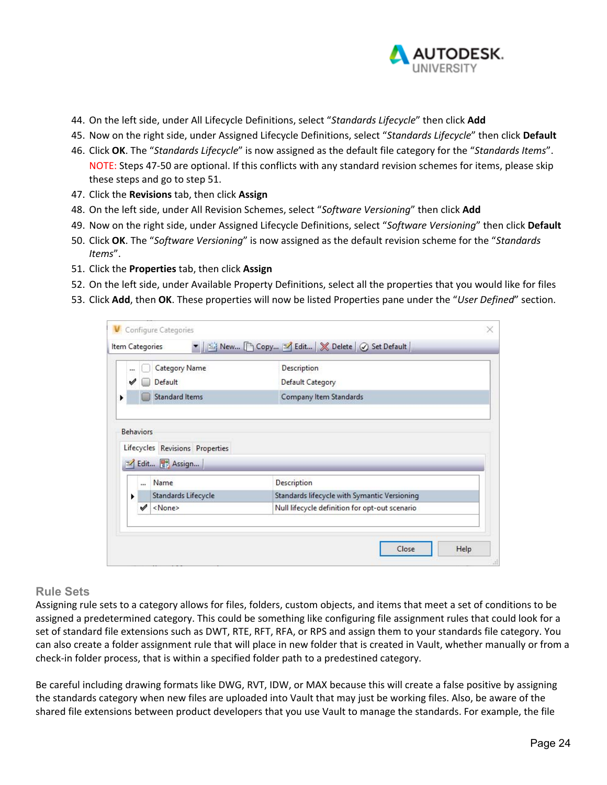

- 44. On the left side, under All Lifecycle Definitions, select "*Standards Lifecycle*" then click **Add**
- 45. Now on the right side, under Assigned Lifecycle Definitions, select "*Standards Lifecycle*" then click **Default**
- 46. Click **OK**. The "*Standards Lifecycle*" is now assigned as the default file category for the "*Standards Items*". NOTE: Steps 47‐50 are optional. If this conflicts with any standard revision schemes for items, please skip these steps and go to step 51.
- 47. Click the **Revisions** tab, then click **Assign**
- 48. On the left side, under All Revision Schemes, select "*Software Versioning*" then click **Add**
- 49. Now on the right side, under Assigned Lifecycle Definitions, select "*Software Versioning*" then click **Default**
- 50. Click **OK**. The "*Software Versioning*" is now assigned as the default revision scheme for the "*Standards Items*".
- 51. Click the **Properties** tab, then click **Assign**
- 52. On the left side, under Available Property Definitions, select all the properties that you would like for files
- 53. Click **Add**, then **OK**. These properties will now be listed Properties pane under the "*User Defined*" section.

| <br>✔            | Category Name<br>Default                                | Description<br>Default Category              |
|------------------|---------------------------------------------------------|----------------------------------------------|
|                  | <b>Standard Items</b>                                   | Company Item Standards                       |
| <b>Behaviors</b> | Lifecycles Revisions Properties<br>Edit <b>B</b> Assign |                                              |
| $\cdots$         | Name                                                    | Description                                  |
| ٠                | Standards Lifecycle                                     | Standards lifecycle with Symantic Versioning |

### **Rule Sets**

Assigning rule sets to a category allows for files, folders, custom objects, and items that meet a set of conditions to be assigned a predetermined category. This could be something like configuring file assignment rules that could look for a set of standard file extensions such as DWT, RTE, RFT, RFA, or RPS and assign them to your standards file category. You can also create a folder assignment rule that will place in new folder that is created in Vault, whether manually or from a check‐in folder process, that is within a specified folder path to a predestined category.

Be careful including drawing formats like DWG, RVT, IDW, or MAX because this will create a false positive by assigning the standards category when new files are uploaded into Vault that may just be working files. Also, be aware of the shared file extensions between product developers that you use Vault to manage the standards. For example, the file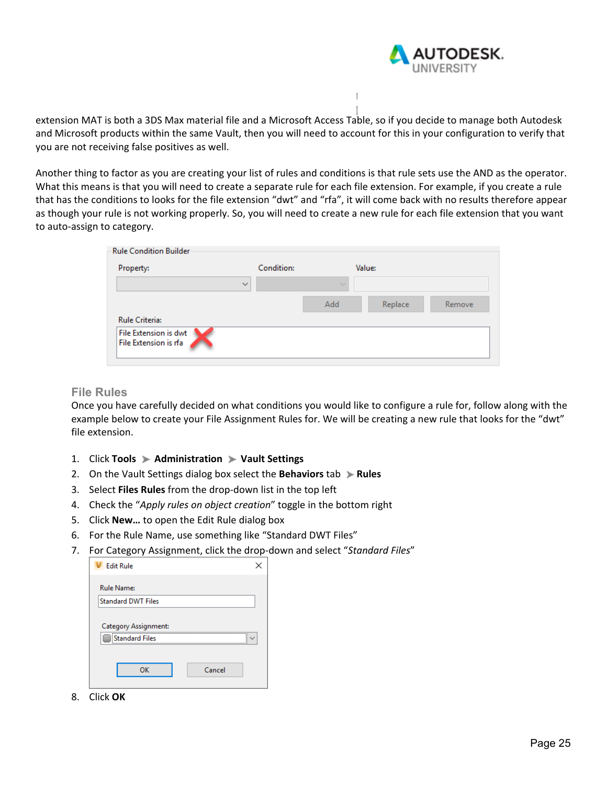

extension MAT is both a 3DS Max material file and a Microsoft Access Table, so if you decide to manage both Autodesk and Microsoft products within the same Vault, then you will need to account for this in your configuration to verify that you are not receiving false positives as well.

Another thing to factor as you are creating your list of rules and conditions is that rule sets use the AND as the operator. What this means is that you will need to create a separate rule for each file extension. For example, if you create a rule that has the conditions to looks for the file extension "dwt" and "rfa", it will come back with no results therefore appear as though your rule is not working properly. So, you will need to create a new rule for each file extension that you want to auto‐assign to category.

| Property:                                      | Condition:   | Value: |         |        |
|------------------------------------------------|--------------|--------|---------|--------|
|                                                | $\checkmark$ | $\sim$ |         |        |
|                                                |              | Add    | Replace | Remove |
| <b>Rule Criteria:</b>                          |              |        |         |        |
| File Extension is dwt<br>File Extension is rfa |              |        |         |        |

#### **File Rules**

Once you have carefully decided on what conditions you would like to configure a rule for, follow along with the example below to create your File Assignment Rules for. We will be creating a new rule that looks for the "dwt" file extension.

- 1. Click **Tools Administration Vault Settings**
- 2. On the Vault Settings dialog box select the **Behaviors** tab **Rules**
- 3. Select **Files Rules** from the drop‐down list in the top left
- 4. Check the "*Apply rules on object creation*" toggle in the bottom right
- 5. Click **New…** to open the Edit Rule dialog box
- 6. For the Rule Name, use something like "Standard DWT Files"
- 7. For Category Assignment, click the drop‐down and select "*Standard Files*"

| <b>Fdit Rule</b>          |        |
|---------------------------|--------|
| <b>Rule Name:</b>         |        |
| <b>Standard DWT Files</b> |        |
| Category Assignment:      |        |
| <b>Standard Files</b>     |        |
| OK                        | Cancel |

8. Click **OK**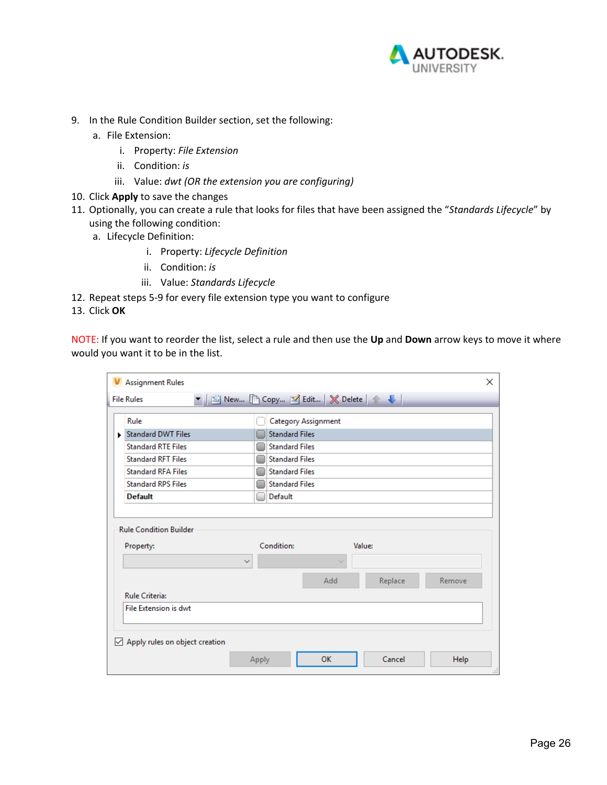

- 9. In the Rule Condition Builder section, set the following:
	- a. File Extension:
		- i. Property: *File Extension*
		- ii. Condition: *is*
		- iii. Value: *dwt (OR the extension you are configuring)*
- 10. Click **Apply** to save the changes
- 11. Optionally, you can create a rule that looks for files that have been assigned the "*Standards Lifecycle*" by using the following condition:
	- a. Lifecycle Definition:
		- i. Property: *Lifecycle Definition*
		- ii. Condition: *is*
		- iii. Value: *Standards Lifecycle*
- 12. Repeat steps 5‐9 for every file extension type you want to configure

13. Click **OK**

NOTE: If you want to reorder the list, select a rule and then use the **Up** and **Down** arrow keys to move it where would you want it to be in the list.

|   | <b>Assignment Rules</b>        |                       |                     |         | $\times$ |
|---|--------------------------------|-----------------------|---------------------|---------|----------|
|   | <b>File Rules</b>              |                       |                     |         |          |
|   | Rule                           |                       | Category Assignment |         |          |
|   | Standard DWT Files             | <b>Standard Files</b> |                     |         |          |
|   | <b>Standard RTE Files</b>      | <b>Standard Files</b> |                     |         |          |
|   | <b>Standard RFT Files</b>      | <b>Standard Files</b> |                     |         |          |
|   | <b>Standard RFA Files</b>      | <b>Standard Files</b> |                     |         |          |
|   | <b>Standard RPS Files</b>      | <b>Standard Files</b> |                     |         |          |
|   | <b>Default</b>                 | Default               |                     |         |          |
|   |                                |                       |                     |         |          |
|   |                                |                       |                     |         |          |
|   | <b>Rule Condition Builder</b>  |                       |                     |         |          |
|   | Property:                      | Condition:            |                     | Value:  |          |
|   | $\checkmark$                   |                       |                     |         |          |
|   |                                |                       | Add                 | Replace | Remove   |
|   | <b>Rule Criteria:</b>          |                       |                     |         |          |
|   | File Extension is dwt          |                       |                     |         |          |
|   |                                |                       |                     |         |          |
| ⋈ | Apply rules on object creation |                       |                     |         |          |
|   |                                | Apply                 | <b>OK</b>           | Cancel  | Help     |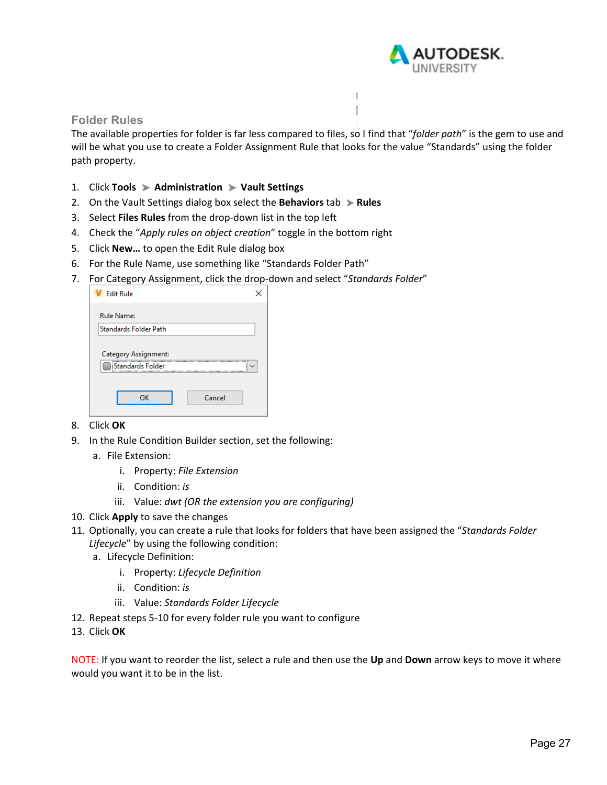

#### **Folder Rules**

The available properties for folder is far less compared to files, so I find that "*folder path*" is the gem to use and will be what you use to create a Folder Assignment Rule that looks for the value "Standards" using the folder path property.

 $\mathbb{I}$ 

- 1. Click **Tools Administration Vault Settings**
- 2. On the Vault Settings dialog box select the **Behaviors** tab **Rules**
- 3. Select **Files Rules** from the drop‐down list in the top left
- 4. Check the "*Apply rules on object creation*" toggle in the bottom right
- 5. Click **New…** to open the Edit Rule dialog box
- 6. For the Rule Name, use something like "Standards Folder Path"
- 7. For Category Assignment, click the drop‐down and select "*Standards Folder*"

| <b>Edit Rule</b>                         |        |
|------------------------------------------|--------|
| <b>Rule Name:</b>                        |        |
| <b>Standards Folder Path</b>             |        |
| Category Assignment:<br>Standards Folder | <br>   |
| OK                                       | Cancel |

- 8. Click **OK**
- 9. In the Rule Condition Builder section, set the following:
	- a. File Extension:
		- i. Property: *File Extension*
		- ii. Condition: *is*
		- iii. Value: *dwt (OR the extension you are configuring)*
- 10. Click **Apply** to save the changes
- 11. Optionally, you can create a rule that looks for folders that have been assigned the "*Standards Folder Lifecycle*" by using the following condition:
	- a. Lifecycle Definition:
		- i. Property: *Lifecycle Definition*
		- ii. Condition: *is*
		- iii. Value: *Standards Folder Lifecycle*
- 12. Repeat steps 5‐10 for every folder rule you want to configure
- 13. Click **OK**

NOTE: If you want to reorder the list, select a rule and then use the **Up** and **Down** arrow keys to move it where would you want it to be in the list.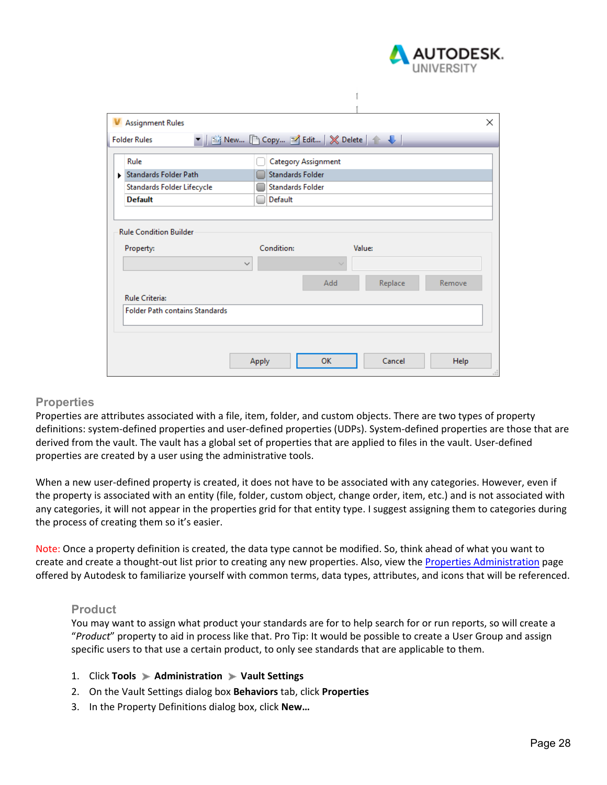

|   | <b>V</b> Assignment Rules             |                                        |         | $\times$ |
|---|---------------------------------------|----------------------------------------|---------|----------|
|   | <b>Folder Rules</b>                   | ▼   Mew [ Copy M Edit   ※ Delete   ↑ ↓ |         |          |
|   | Rule                                  | Category Assignment                    |         |          |
| ь | <b>Standards Folder Path</b>          | <b>Standards Folder</b>                |         |          |
|   | Standards Folder Lifecycle            | <b>Standards Folder</b>                |         |          |
|   | <b>Default</b>                        | Default                                |         |          |
|   |                                       |                                        |         |          |
|   | <b>Rule Condition Builder</b>         |                                        |         |          |
|   |                                       |                                        |         |          |
|   | Property:                             | Condition:                             | Value:  |          |
|   |                                       | $\checkmark$                           | $\sim$  |          |
|   |                                       | Add                                    | Replace | Remove   |
|   | <b>Rule Criteria:</b>                 |                                        |         |          |
|   | <b>Folder Path contains Standards</b> |                                        |         |          |
|   |                                       |                                        |         |          |
|   |                                       |                                        |         |          |
|   |                                       |                                        |         |          |
|   |                                       | OK<br>Apply                            | Cancel  | Help     |
|   |                                       |                                        |         |          |

 $\mathbb{L}$ 

#### **Properties**

Properties are attributes associated with a file, item, folder, and custom objects. There are two types of property definitions: system‐defined properties and user‐defined properties (UDPs). System‐defined properties are those that are derived from the vault. The vault has a global set of properties that are applied to files in the vault. User‐defined properties are created by a user using the administrative tools.

When a new user-defined property is created, it does not have to be associated with any categories. However, even if the property is associated with an entity (file, folder, custom object, change order, item, etc.) and is not associated with any categories, it will not appear in the properties grid for that entity type. I suggest assigning them to categories during the process of creating them so it's easier.

Note: Once a property definition is created, the data type cannot be modified. So, think ahead of what you want to create and create a thought‐out list prior to creating any new properties. Also, view the Properties Administration page offered by Autodesk to familiarize yourself with common terms, data types, attributes, and icons that will be referenced.

#### **Product**

You may want to assign what product your standards are for to help search for or run reports, so will create a "*Product*" property to aid in process like that. Pro Tip: It would be possible to create a User Group and assign specific users to that use a certain product, to only see standards that are applicable to them.

- 1. Click **Tools Administration Vault Settings**
- 2. On the Vault Settings dialog box **Behaviors** tab, click **Properties**
- 3. In the Property Definitions dialog box, click **New…**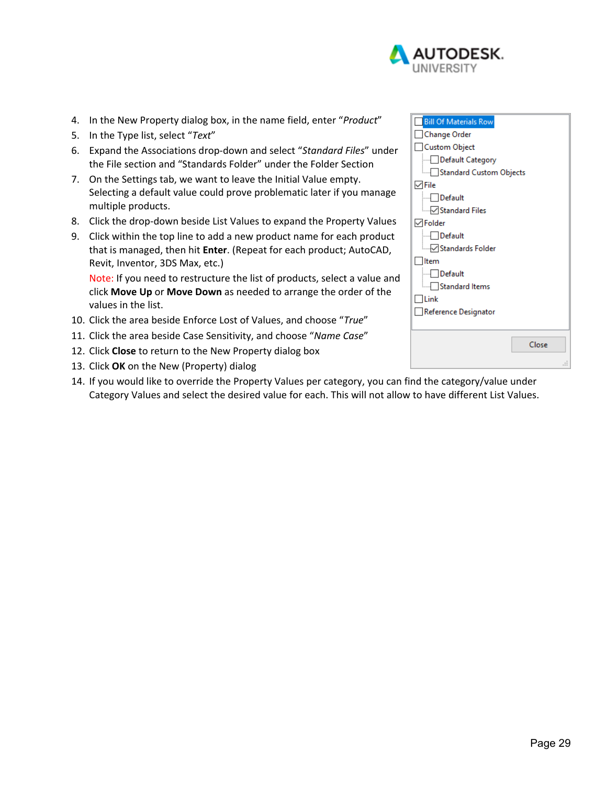

- 4. In the New Property dialog box, in the name field, enter "*Product*"
- 5. In the Type list, select "*Text*"
- 6. Expand the Associations drop‐down and select "*Standard Files*" under the File section and "Standards Folder" under the Folder Section
- 7. On the Settings tab, we want to leave the Initial Value empty. Selecting a default value could prove problematic later if you manage multiple products.
- 8. Click the drop-down beside List Values to expand the Property Values
- 9. Click within the top line to add a new product name for each product that is managed, then hit **Enter**. (Repeat for each product; AutoCAD, Revit, Inventor, 3DS Max, etc.)

Note: If you need to restructure the list of products, select a value and click **Move Up** or **Move Down** as needed to arrange the order of the values in the list.

- 10. Click the area beside Enforce Lost of Values, and choose "*True*"
- 11. Click the area beside Case Sensitivity, and choose "*Name Case*"
- 12. Click **Close** to return to the New Property dialog box
- 13. Click **OK** on the New (Property) dialog
- 14. If you would like to override the Property Values per category, you can find the category/value under Category Values and select the desired value for each. This will not allow to have different List Values.

| <b>Bill Of Materials Row</b>    |
|---------------------------------|
| Change Order                    |
| <b>Custom Object</b>            |
| Default Category                |
| — Standard Custom Objects       |
| $\vee$ File                     |
| <b>I</b> Default                |
| <b>Example 5 Standard Files</b> |
| $\sqrt{}$ Folder                |
| $\Box$ Default                  |
| <b>Mandards Folder</b>          |
| ltem                            |
| <b>Default</b>                  |
| Standard Items                  |
| <b>Link</b>                     |
| Reference Designator            |
|                                 |
|                                 |
| Close                           |
| .::                             |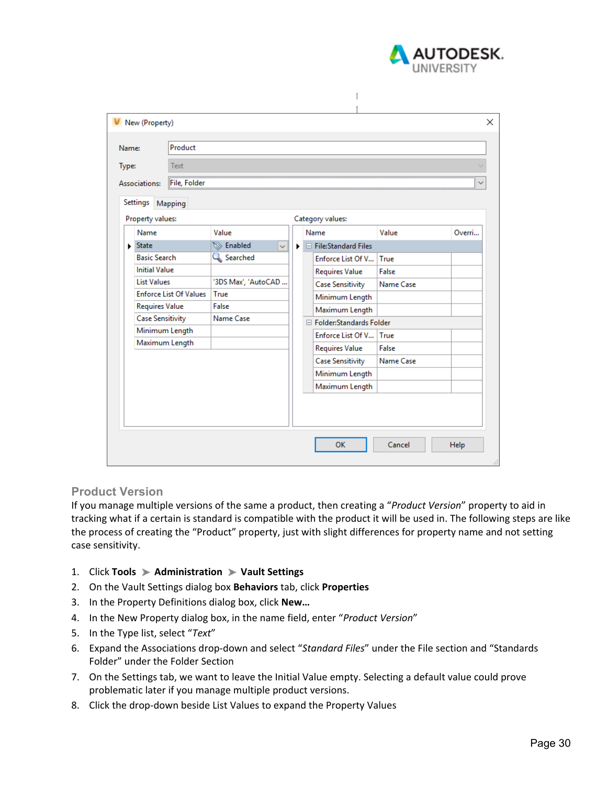

| Name:         |                               | Product                 |                                  |   |  |                            |           |        |  |  |  |
|---------------|-------------------------------|-------------------------|----------------------------------|---|--|----------------------------|-----------|--------|--|--|--|
| Type:         |                               | Text                    |                                  |   |  |                            |           |        |  |  |  |
| Associations: |                               |                         | File, Folder                     |   |  |                            |           |        |  |  |  |
|               |                               |                         |                                  |   |  |                            |           |        |  |  |  |
|               | Settings                      | Mapping                 |                                  |   |  |                            |           |        |  |  |  |
|               | Property values:              |                         |                                  |   |  | Category values:           |           |        |  |  |  |
|               | Name                          |                         | Value                            |   |  | Name                       | Value     | Overri |  |  |  |
|               | $\blacktriangleright$ State   |                         | <b>S</b> Enabled<br>$\checkmark$ | ▶ |  | $\Box$ File:Standard Files |           |        |  |  |  |
|               | <b>Basic Search</b>           |                         | Searched                         |   |  | Enforce List Of V          | True      |        |  |  |  |
|               | <b>Initial Value</b>          |                         |                                  |   |  | <b>Requires Value</b>      | False     |        |  |  |  |
|               | <b>List Values</b>            |                         | '3DS Max', 'AutoCAD              |   |  | <b>Case Sensitivity</b>    | Name Case |        |  |  |  |
|               | <b>Enforce List Of Values</b> |                         | True                             |   |  | Minimum Length             |           |        |  |  |  |
|               |                               | <b>Requires Value</b>   | False                            |   |  | Maximum Length             |           |        |  |  |  |
|               |                               | <b>Case Sensitivity</b> | Name Case                        |   |  | □ Folder:Standards Folder  |           |        |  |  |  |
|               | Minimum Length                |                         |                                  |   |  | Enforce List Of V True     |           |        |  |  |  |
|               | Maximum Length                |                         |                                  |   |  | <b>Requires Value</b>      | False     |        |  |  |  |
|               |                               |                         |                                  |   |  | <b>Case Sensitivity</b>    | Name Case |        |  |  |  |
|               |                               |                         |                                  |   |  | Minimum Length             |           |        |  |  |  |
|               |                               |                         |                                  |   |  | Maximum Length             |           |        |  |  |  |
|               |                               |                         |                                  |   |  |                            |           |        |  |  |  |
|               |                               |                         |                                  |   |  |                            |           |        |  |  |  |
|               |                               |                         |                                  |   |  |                            |           |        |  |  |  |

#### **Product Version**

If you manage multiple versions of the same a product, then creating a "*Product Version*" property to aid in tracking what if a certain is standard is compatible with the product it will be used in. The following steps are like the process of creating the "Product" property, just with slight differences for property name and not setting case sensitivity.

- 1. Click **Tools Administration Vault Settings**
- 2. On the Vault Settings dialog box **Behaviors** tab, click **Properties**
- 3. In the Property Definitions dialog box, click **New…**
- 4. In the New Property dialog box, in the name field, enter "*Product Version*"
- 5. In the Type list, select "*Text*"
- 6. Expand the Associations drop‐down and select "*Standard Files*" under the File section and "Standards Folder" under the Folder Section
- 7. On the Settings tab, we want to leave the Initial Value empty. Selecting a default value could prove problematic later if you manage multiple product versions.
- 8. Click the drop-down beside List Values to expand the Property Values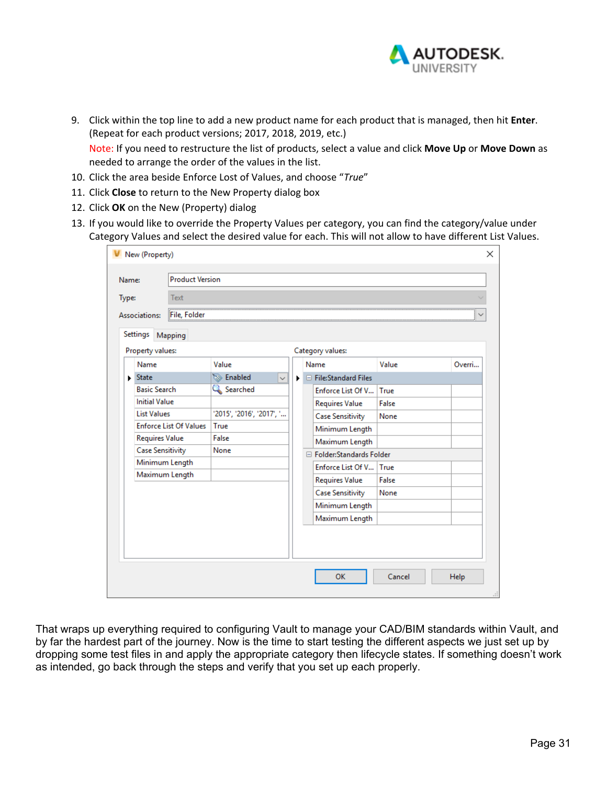

9. Click within the top line to add a new product name for each product that is managed, then hit **Enter**. (Repeat for each product versions; 2017, 2018, 2019, etc.)

Note: If you need to restructure the list of products, select a value and click **Move Up** or **Move Down** as needed to arrange the order of the values in the list.

- 10. Click the area beside Enforce Lost of Values, and choose "*True*"
- 11. Click **Close** to return to the New Property dialog box
- 12. Click **OK** on the New (Property) dialog
- 13. If you would like to override the Property Values per category, you can find the category/value under Category Values and select the desired value for each. This will not allow to have different List Values.

| Name: |                               | <b>Product Version</b> |                                  |   |  |                           |       |        |  |  |
|-------|-------------------------------|------------------------|----------------------------------|---|--|---------------------------|-------|--------|--|--|
| Type: |                               | Text                   |                                  |   |  |                           |       |        |  |  |
|       | Associations:                 | File, Folder           |                                  |   |  |                           |       |        |  |  |
|       | Settings                      | Mapping                |                                  |   |  |                           |       |        |  |  |
|       | Property values:              |                        |                                  |   |  | Category values:          |       |        |  |  |
|       | Name                          |                        | Value                            |   |  | Name                      | Value | Overri |  |  |
|       | $\blacktriangleright$ State   |                        | <b>S</b> Enabled<br>$\checkmark$ | ▶ |  | □ File:Standard Files     |       |        |  |  |
|       | <b>Basic Search</b>           |                        | Searched                         |   |  | Enforce List Of V         | True  |        |  |  |
|       | <b>Initial Value</b>          |                        |                                  |   |  | Requires Value            | False |        |  |  |
|       | <b>List Values</b>            |                        | '2015', '2016', '2017', '        |   |  | <b>Case Sensitivity</b>   | None  |        |  |  |
|       | <b>Enforce List Of Values</b> |                        | True                             |   |  | Minimum Length            |       |        |  |  |
|       | <b>Requires Value</b>         |                        | False                            |   |  | Maximum Length            |       |        |  |  |
|       | <b>Case Sensitivity</b>       |                        | None                             |   |  | □ Folder:Standards Folder |       |        |  |  |
|       | Minimum Length                |                        |                                  |   |  | Enforce List Of V True    |       |        |  |  |
|       | Maximum Length                |                        |                                  |   |  | Requires Value            | False |        |  |  |
|       |                               |                        |                                  |   |  | <b>Case Sensitivity</b>   | None  |        |  |  |
|       |                               |                        |                                  |   |  | Minimum Length            |       |        |  |  |
|       |                               |                        |                                  |   |  | Maximum Length            |       |        |  |  |
|       |                               |                        |                                  |   |  |                           |       |        |  |  |
|       |                               |                        |                                  |   |  |                           |       |        |  |  |
|       |                               |                        |                                  |   |  |                           |       |        |  |  |

That wraps up everything required to configuring Vault to manage your CAD/BIM standards within Vault, and by far the hardest part of the journey. Now is the time to start testing the different aspects we just set up by dropping some test files in and apply the appropriate category then lifecycle states. If something doesn't work as intended, go back through the steps and verify that you set up each properly.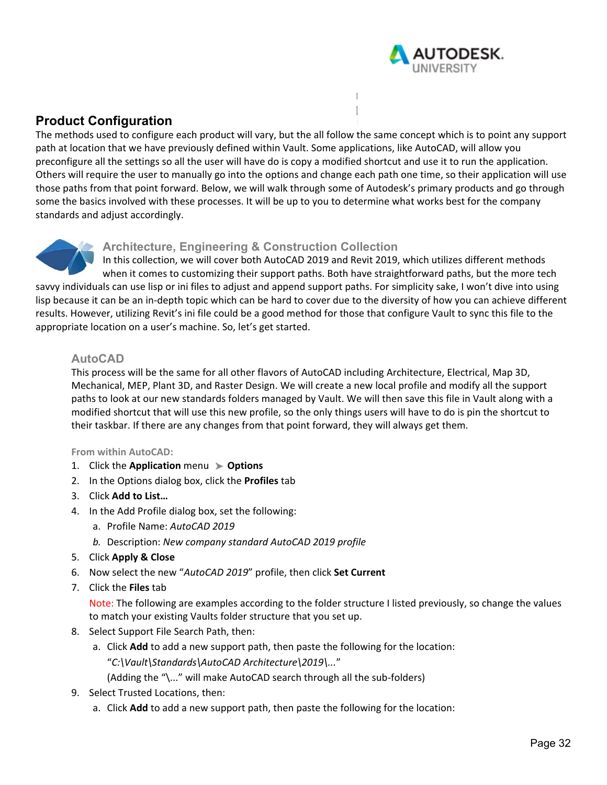

# **Product Configuration**

The methods used to configure each product will vary, but the all follow the same concept which is to point any support path at location that we have previously defined within Vault. Some applications, like AutoCAD, will allow you preconfigure all the settings so all the user will have do is copy a modified shortcut and use it to run the application. Others will require the user to manually go into the options and change each path one time, so their application will use those paths from that point forward. Below, we will walk through some of Autodesk's primary products and go through some the basics involved with these processes. It will be up to you to determine what works best for the company standards and adjust accordingly.



## **Architecture, Engineering & Construction Collection**

In this collection, we will cover both AutoCAD 2019 and Revit 2019, which utilizes different methods when it comes to customizing their support paths. Both have straightforward paths, but the more tech savvy individuals can use lisp or ini files to adjust and append support paths. For simplicity sake, I won't dive into using lisp because it can be an in‐depth topic which can be hard to cover due to the diversity of how you can achieve different results. However, utilizing Revit's ini file could be a good method for those that configure Vault to sync this file to the appropriate location on a user's machine. So, let's get started.

## **AutoCAD**

This process will be the same for all other flavors of AutoCAD including Architecture, Electrical, Map 3D, Mechanical, MEP, Plant 3D, and Raster Design. We will create a new local profile and modify all the support paths to look at our new standards folders managed by Vault. We will then save this file in Vault along with a modified shortcut that will use this new profile, so the only things users will have to do is pin the shortcut to their taskbar. If there are any changes from that point forward, they will always get them.

#### **From within AutoCAD:**

- 1. Click the **Application** menu **Options**
- 2. In the Options dialog box, click the **Profiles** tab
- 3. Click **Add to List…**
- 4. In the Add Profile dialog box, set the following:
	- a. Profile Name: *AutoCAD 2019*
	- *b.* Description: *New company standard AutoCAD 2019 profile*
- 5. Click **Apply & Close**
- 6. Now select the new "*AutoCAD 2019*" profile, then click **Set Current**
- 7. Click the **Files** tab

Note: The following are examples according to the folder structure I listed previously, so change the values to match your existing Vaults folder structure that you set up.

- 8. Select Support File Search Path, then:
	- a. Click **Add** to add a new support path, then paste the following for the location: "*C:\Vault\Standards\AutoCAD Architecture\2019\...*"
		- (Adding the "\..." will make AutoCAD search through all the sub‐folders)
- 9. Select Trusted Locations, then:
	- a. Click **Add** to add a new support path, then paste the following for the location: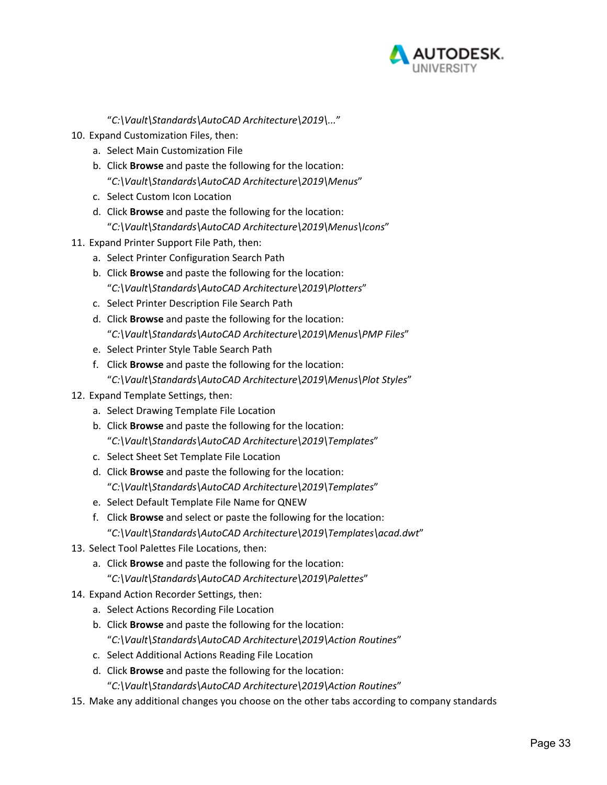

"*C:\Vault\Standards\AutoCAD Architecture\2019\...*"

- 10. Expand Customization Files, then:
	- a. Select Main Customization File
	- b. Click **Browse** and paste the following for the location: "*C:\Vault\Standards\AutoCAD Architecture\2019\Menus*"
	- c. Select Custom Icon Location
	- d. Click **Browse** and paste the following for the location: "*C:\Vault\Standards\AutoCAD Architecture\2019\Menus\Icons*"
- 11. Expand Printer Support File Path, then:
	- a. Select Printer Configuration Search Path
	- b. Click **Browse** and paste the following for the location: "*C:\Vault\Standards\AutoCAD Architecture\2019\Plotters*"
	- c. Select Printer Description File Search Path
	- d. Click **Browse** and paste the following for the location: "*C:\Vault\Standards\AutoCAD Architecture\2019\Menus\PMP Files*"
	- e. Select Printer Style Table Search Path
	- f. Click **Browse** and paste the following for the location: "*C:\Vault\Standards\AutoCAD Architecture\2019\Menus\Plot Styles*"
- 12. Expand Template Settings, then:
	- a. Select Drawing Template File Location
	- b. Click **Browse** and paste the following for the location: "*C:\Vault\Standards\AutoCAD Architecture\2019\Templates*"
	- c. Select Sheet Set Template File Location
	- d. Click **Browse** and paste the following for the location: "*C:\Vault\Standards\AutoCAD Architecture\2019\Templates*"
	- e. Select Default Template File Name for QNEW
	- f. Click **Browse** and select or paste the following for the location: "*C:\Vault\Standards\AutoCAD Architecture\2019\Templates\acad.dwt*"
- 13. Select Tool Palettes File Locations, then:
	- a. Click **Browse** and paste the following for the location: "*C:\Vault\Standards\AutoCAD Architecture\2019\Palettes*"
- 14. Expand Action Recorder Settings, then:
	- a. Select Actions Recording File Location
	- b. Click **Browse** and paste the following for the location: "*C:\Vault\Standards\AutoCAD Architecture\2019\Action Routines*"
	- c. Select Additional Actions Reading File Location
	- d. Click **Browse** and paste the following for the location: "*C:\Vault\Standards\AutoCAD Architecture\2019\Action Routines*"
- 15. Make any additional changes you choose on the other tabs according to company standards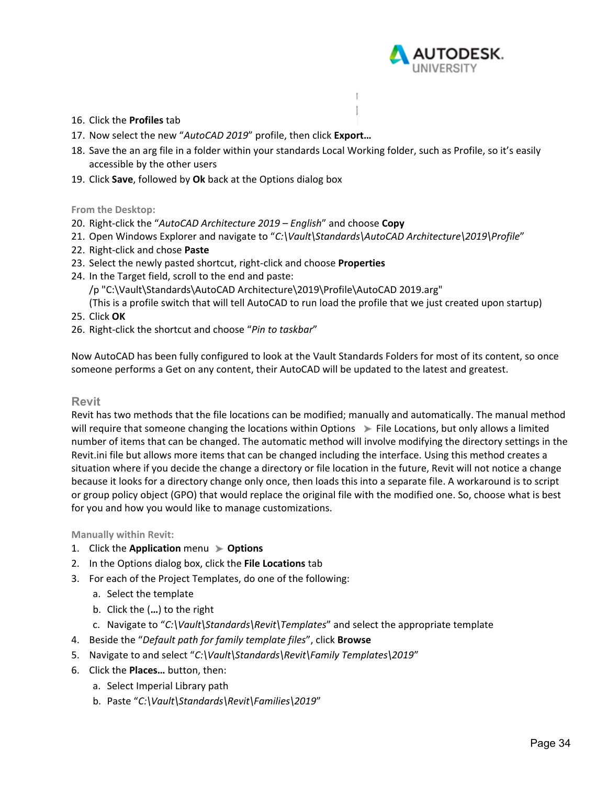

#### 16. Click the **Profiles** tab

- 17. Now select the new "*AutoCAD 2019*" profile, then click **Export…**
- 18. Save the an arg file in a folder within your standards Local Working folder, such as Profile, so it's easily accessible by the other users

f.

19. Click **Save**, followed by **Ok** back at the Options dialog box

#### **From the Desktop:**

- 20. Right‐click the "*AutoCAD Architecture 2019 English*" and choose **Copy**
- 21. Open Windows Explorer and navigate to "*C:\Vault\Standards\AutoCAD Architecture\2019\Profile*"
- 22. Right‐click and chose **Paste**
- 23. Select the newly pasted shortcut, right‐click and choose **Properties**
- 24. In the Target field, scroll to the end and paste:
	- /p "C:\Vault\Standards\AutoCAD Architecture\2019\Profile\AutoCAD 2019.arg"

(This is a profile switch that will tell AutoCAD to run load the profile that we just created upon startup)

- 25. Click **OK**
- 26. Right‐click the shortcut and choose "*Pin to taskbar*"

Now AutoCAD has been fully configured to look at the Vault Standards Folders for most of its content, so once someone performs a Get on any content, their AutoCAD will be updated to the latest and greatest.

#### **Revit**

Revit has two methods that the file locations can be modified; manually and automatically. The manual method will require that someone changing the locations within Options  $\blacktriangleright$  File Locations, but only allows a limited number of items that can be changed. The automatic method will involve modifying the directory settings in the Revit.ini file but allows more items that can be changed including the interface. Using this method creates a situation where if you decide the change a directory or file location in the future, Revit will not notice a change because it looks for a directory change only once, then loads this into a separate file. A workaround is to script or group policy object (GPO) that would replace the original file with the modified one. So, choose what is best for you and how you would like to manage customizations.

**Manually within Revit:** 

- 1. Click the **Application** menu **Options**
- 2. In the Options dialog box, click the **File Locations** tab
- 3. For each of the Project Templates, do one of the following:
	- a. Select the template
	- b. Click the (**…**) to the right
	- c. Navigate to "*C:\Vault\Standards\Revit\Templates*" and select the appropriate template
- 4. Beside the "*Default path for family template files*", click **Browse**
- 5. Navigate to and select "*C:\Vault\Standards\Revit\Family Templates\2019*"
- 6. Click the **Places…** button, then:
	- a. Select Imperial Library path
	- b. Paste "*C:\Vault\Standards\Revit\Families\2019*"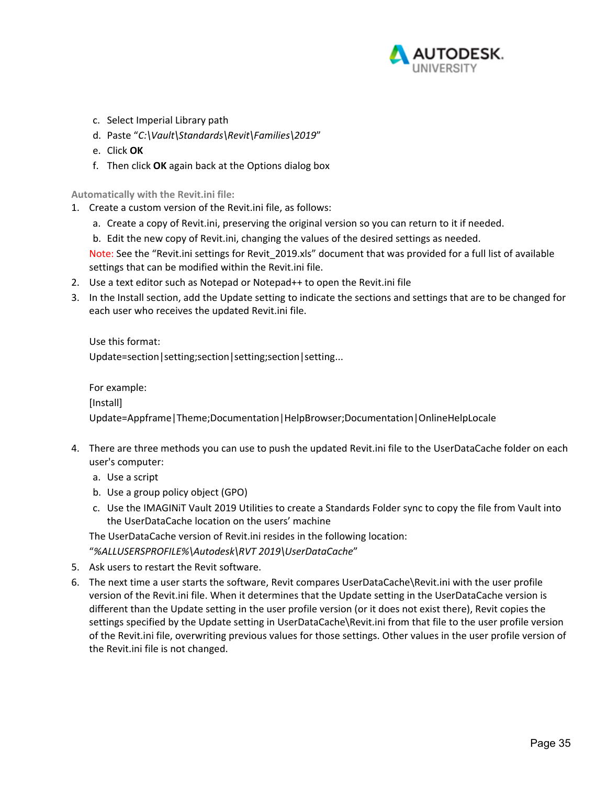

- c. Select Imperial Library path
- d. Paste "*C:\Vault\Standards\Revit\Families\2019*"
- e. Click **OK**
- f. Then click **OK** again back at the Options dialog box

**Automatically with the Revit.ini file:** 

- 1. Create a custom version of the Revit.ini file, as follows:
	- a. Create a copy of Revit.ini, preserving the original version so you can return to it if needed.
	- b. Edit the new copy of Revit.ini, changing the values of the desired settings as needed.

Note: See the "Revit.ini settings for Revit 2019.xls" document that was provided for a full list of available settings that can be modified within the Revit.ini file.

- 2. Use a text editor such as Notepad or Notepad++ to open the Revit.ini file
- 3. In the Install section, add the Update setting to indicate the sections and settings that are to be changed for each user who receives the updated Revit.ini file.

Use this format:

Update=section|setting;section|setting;section|setting...

For example:

[Install]

Update=Appframe|Theme;Documentation|HelpBrowser;Documentation|OnlineHelpLocale

- 4. There are three methods you can use to push the updated Revit.ini file to the UserDataCache folder on each user's computer:
	- a. Use a script
	- b. Use a group policy object (GPO)
	- c. Use the IMAGINiT Vault 2019 Utilities to create a Standards Folder sync to copy the file from Vault into the UserDataCache location on the users' machine

The UserDataCache version of Revit.ini resides in the following location:

"*%ALLUSERSPROFILE%\Autodesk\RVT 2019\UserDataCache*"

- 5. Ask users to restart the Revit software.
- 6. The next time a user starts the software, Revit compares UserDataCache\Revit.ini with the user profile version of the Revit.ini file. When it determines that the Update setting in the UserDataCache version is different than the Update setting in the user profile version (or it does not exist there), Revit copies the settings specified by the Update setting in UserDataCache\Revit.ini from that file to the user profile version of the Revit.ini file, overwriting previous values for those settings. Other values in the user profile version of the Revit.ini file is not changed.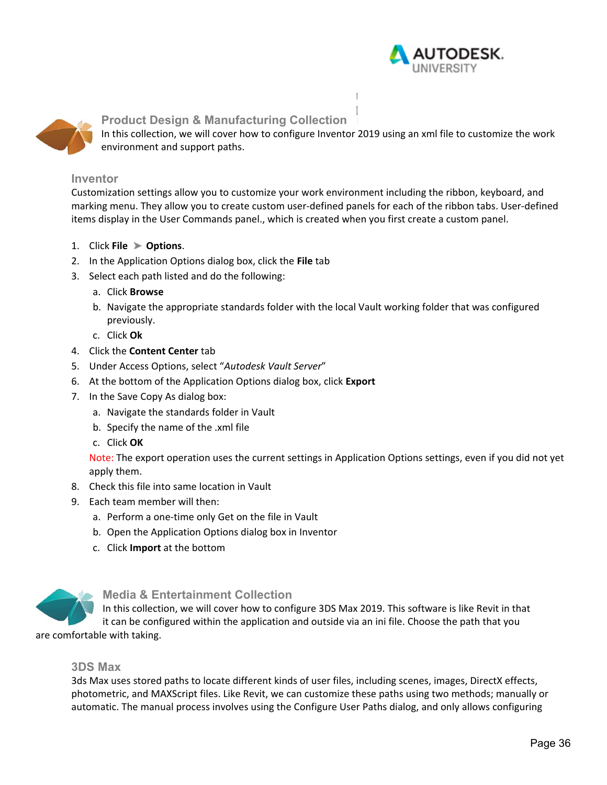



### **Product Design & Manufacturing Collection**

In this collection, we will cover how to configure Inventor 2019 using an xml file to customize the work environment and support paths.

#### **Inventor**

Customization settings allow you to customize your work environment including the ribbon, keyboard, and marking menu. They allow you to create custom user‐defined panels for each of the ribbon tabs. User‐defined items display in the User Commands panel., which is created when you first create a custom panel.

- 1. Click **File Options**.
- 2. In the Application Options dialog box, click the **File** tab
- 3. Select each path listed and do the following:
	- a. Click **Browse**
	- b. Navigate the appropriate standards folder with the local Vault working folder that was configured previously.
	- c. Click **Ok**
- 4. Click the **Content Center** tab
- 5. Under Access Options, select "*Autodesk Vault Server*"
- 6. At the bottom of the Application Options dialog box, click **Export**
- 7. In the Save Copy As dialog box:
	- a. Navigate the standards folder in Vault
	- b. Specify the name of the .xml file
	- c. Click **OK**

Note: The export operation uses the current settings in Application Options settings, even if you did not yet apply them.

- 8. Check this file into same location in Vault
- 9. Each team member will then:
	- a. Perform a one‐time only Get on the file in Vault
	- b. Open the Application Options dialog box in Inventor
	- c. Click **Import** at the bottom



#### **Media & Entertainment Collection**

In this collection, we will cover how to configure 3DS Max 2019. This software is like Revit in that it can be configured within the application and outside via an ini file. Choose the path that you

are comfortable with taking.

#### **3DS Max**

3ds Max uses stored paths to locate different kinds of user files, including scenes, images, DirectX effects, photometric, and MAXScript files. Like Revit, we can customize these paths using two methods; manually or automatic. The manual process involves using the Configure User Paths dialog, and only allows configuring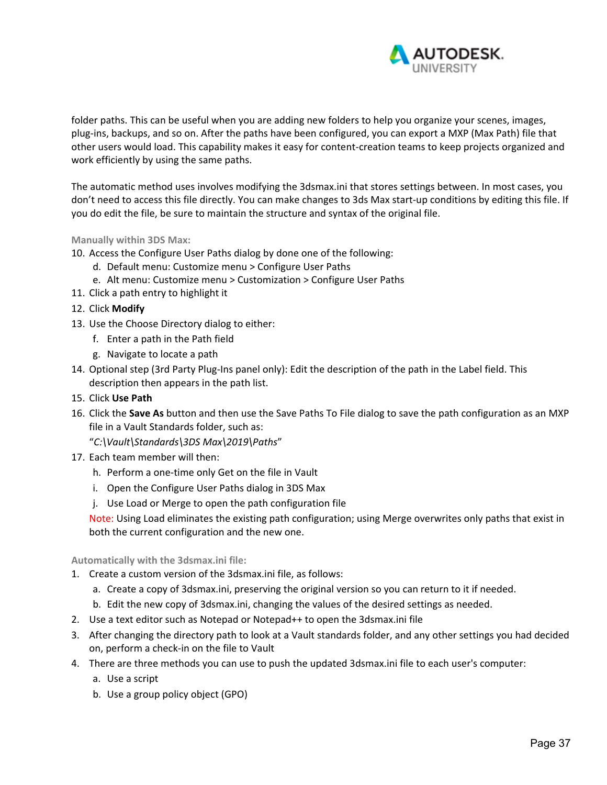

folder paths. This can be useful when you are adding new folders to help you organize your scenes, images, plug‐ins, backups, and so on. After the paths have been configured, you can export a MXP (Max Path) file that other users would load. This capability makes it easy for content‐creation teams to keep projects organized and work efficiently by using the same paths.

The automatic method uses involves modifying the 3dsmax.ini that stores settings between. In most cases, you don't need to access this file directly. You can make changes to 3ds Max start‐up conditions by editing this file. If you do edit the file, be sure to maintain the structure and syntax of the original file.

#### **Manually within 3DS Max:**

- 10. Access the Configure User Paths dialog by done one of the following:
	- d. Default menu: Customize menu > Configure User Paths
	- e. Alt menu: Customize menu > Customization > Configure User Paths
- 11. Click a path entry to highlight it
- 12. Click **Modify**
- 13. Use the Choose Directory dialog to either:
	- f. Enter a path in the Path field
	- g. Navigate to locate a path
- 14. Optional step (3rd Party Plug-Ins panel only): Edit the description of the path in the Label field. This description then appears in the path list.
- 15. Click **Use Path**
- 16. Click the **Save As** button and then use the Save Paths To File dialog to save the path configuration as an MXP file in a Vault Standards folder, such as:

"*C:\Vault\Standards\3DS Max\2019\Paths*"

- 17. Each team member will then:
	- h. Perform a one‐time only Get on the file in Vault
	- i. Open the Configure User Paths dialog in 3DS Max
	- j. Use Load or Merge to open the path configuration file

Note: Using Load eliminates the existing path configuration; using Merge overwrites only paths that exist in both the current configuration and the new one.

#### **Automatically with the 3dsmax.ini file:**

- 1. Create a custom version of the 3dsmax.ini file, as follows:
	- a. Create a copy of 3dsmax.ini, preserving the original version so you can return to it if needed.
	- b. Edit the new copy of 3dsmax.ini, changing the values of the desired settings as needed.
- 2. Use a text editor such as Notepad or Notepad++ to open the 3dsmax.ini file
- 3. After changing the directory path to look at a Vault standards folder, and any other settings you had decided on, perform a check‐in on the file to Vault
- 4. There are three methods you can use to push the updated 3dsmax.ini file to each user's computer:
	- a. Use a script
	- b. Use a group policy object (GPO)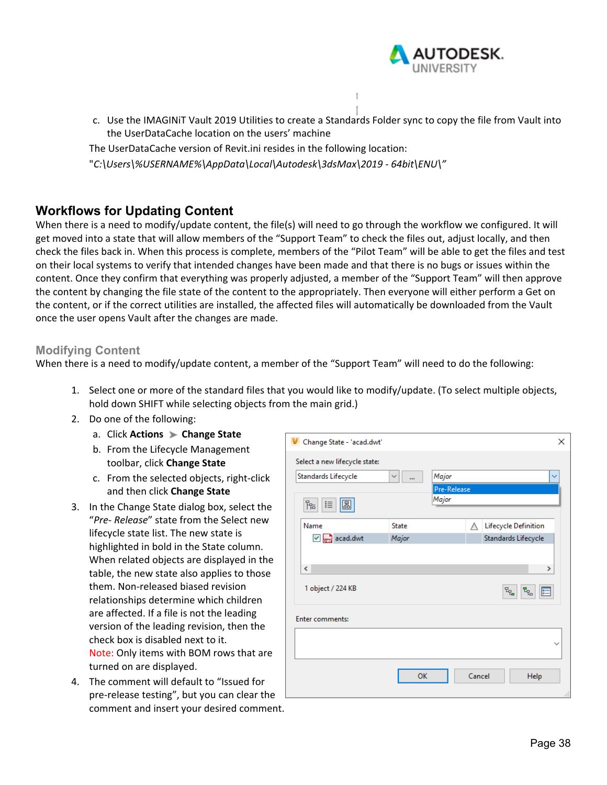

c. Use the IMAGINiT Vault 2019 Utilities to create a Standards Folder sync to copy the file from Vault into the UserDataCache location on the users' machine

The UserDataCache version of Revit.ini resides in the following location:

"*C:\Users\%USERNAME%\AppData\Local\Autodesk\3dsMax\2019 ‐ 64bit\ENU\"* 

# **Workflows for Updating Content**

When there is a need to modify/update content, the file(s) will need to go through the workflow we configured. It will get moved into a state that will allow members of the "Support Team" to check the files out, adjust locally, and then check the files back in. When this process is complete, members of the "Pilot Team" will be able to get the files and test on their local systems to verify that intended changes have been made and that there is no bugs or issues within the content. Once they confirm that everything was properly adjusted, a member of the "Support Team" will then approve the content by changing the file state of the content to the appropriately. Then everyone will either perform a Get on the content, or if the correct utilities are installed, the affected files will automatically be downloaded from the Vault once the user opens Vault after the changes are made.

### **Modifying Content**

When there is a need to modify/update content, a member of the "Support Team" will need to do the following:

- 1. Select one or more of the standard files that you would like to modify/update. (To select multiple objects, hold down SHIFT while selecting objects from the main grid.)
- 2. Do one of the following:
	- a. Click **Actions Change State**
	- b. From the Lifecycle Management toolbar, click **Change State**
	- c. From the selected objects, right‐click and then click **Change State**
- 3. In the Change State dialog box, select the "*Pre‐ Release*" state from the Select new lifecycle state list. The new state is highlighted in bold in the State column. When related objects are displayed in the table, the new state also applies to those them. Non‐released biased revision relationships determine which children are affected. If a file is not the leading version of the leading revision, then the check box is disabled next to it. Note: Only items with BOM rows that are turned on are displayed.
- 4. The comment will default to "Issued for pre‐release testing", but you can clear the comment and insert your desired comment.

| Change State - 'acad.dwt'     |                          |                      |        | ×                                                                                                                       |  |
|-------------------------------|--------------------------|----------------------|--------|-------------------------------------------------------------------------------------------------------------------------|--|
| Select a new lifecycle state: |                          |                      |        |                                                                                                                         |  |
| Standards Lifecycle           | $\checkmark$<br>$\cdots$ | Major                |        | $\checkmark$                                                                                                            |  |
|                               |                          | Pre-Release<br>Major |        |                                                                                                                         |  |
| 品<br>這<br>圖                   |                          |                      |        |                                                                                                                         |  |
| Name                          | <b>State</b>             |                      | Д      | Lifecycle Definition                                                                                                    |  |
| $\sqrt{2}$ acad.dwt           | Major                    |                      |        | Standards Lifecycle                                                                                                     |  |
|                               |                          |                      |        |                                                                                                                         |  |
| $\overline{\phantom{a}}$      |                          |                      |        | $\rightarrow$                                                                                                           |  |
| 1 object / 224 KB             |                          |                      |        | $\mathbb{E}_{\mathbb{E}_{\mathbf{G}}}$<br>$\overline{\mathbf{r}}_{\mathbf{q}_{\alpha}}$<br>$\left  \frac{a}{b} \right $ |  |
|                               |                          |                      |        |                                                                                                                         |  |
| <b>Enter comments:</b>        |                          |                      |        |                                                                                                                         |  |
|                               |                          |                      |        |                                                                                                                         |  |
|                               |                          |                      |        |                                                                                                                         |  |
|                               |                          |                      |        |                                                                                                                         |  |
|                               | OK                       |                      | Cancel | Help                                                                                                                    |  |
|                               |                          |                      |        |                                                                                                                         |  |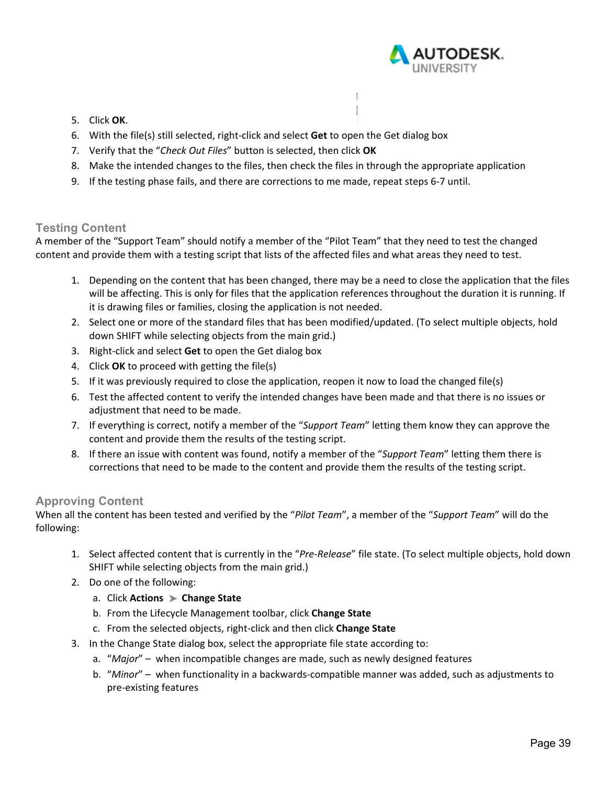

- 5. Click **OK**.
- 6. With the file(s) still selected, right‐click and select **Get** to open the Get dialog box
- 7. Verify that the "*Check Out Files*" button is selected, then click **OK**
- 8. Make the intended changes to the files, then check the files in through the appropriate application

Í.

9. If the testing phase fails, and there are corrections to me made, repeat steps 6‐7 until.

# **Testing Content**

A member of the "Support Team" should notify a member of the "Pilot Team" that they need to test the changed content and provide them with a testing script that lists of the affected files and what areas they need to test.

- 1. Depending on the content that has been changed, there may be a need to close the application that the files will be affecting. This is only for files that the application references throughout the duration it is running. If it is drawing files or families, closing the application is not needed.
- 2. Select one or more of the standard files that has been modified/updated. (To select multiple objects, hold down SHIFT while selecting objects from the main grid.)
- 3. Right‐click and select **Get** to open the Get dialog box
- 4. Click **OK** to proceed with getting the file(s)
- 5. If it was previously required to close the application, reopen it now to load the changed file(s)
- 6. Test the affected content to verify the intended changes have been made and that there is no issues or adjustment that need to be made.
- 7. If everything is correct, notify a member of the "*Support Team*" letting them know they can approve the content and provide them the results of the testing script.
- 8. If there an issue with content was found, notify a member of the "*Support Team*" letting them there is corrections that need to be made to the content and provide them the results of the testing script.

### **Approving Content**

When all the content has been tested and verified by the "*Pilot Team*", a member of the "*Support Team*" will do the following:

- 1. Select affected content that is currently in the "*Pre‐Release*" file state. (To select multiple objects, hold down SHIFT while selecting objects from the main grid.)
- 2. Do one of the following:
	- a. Click **Actions Change State**
	- b. From the Lifecycle Management toolbar, click **Change State**
	- c. From the selected objects, right‐click and then click **Change State**
- 3. In the Change State dialog box, select the appropriate file state according to:
	- a. "*Major*" when incompatible changes are made, such as newly designed features
	- b. "*Minor*" when functionality in a backwards‐compatible manner was added, such as adjustments to pre‐existing features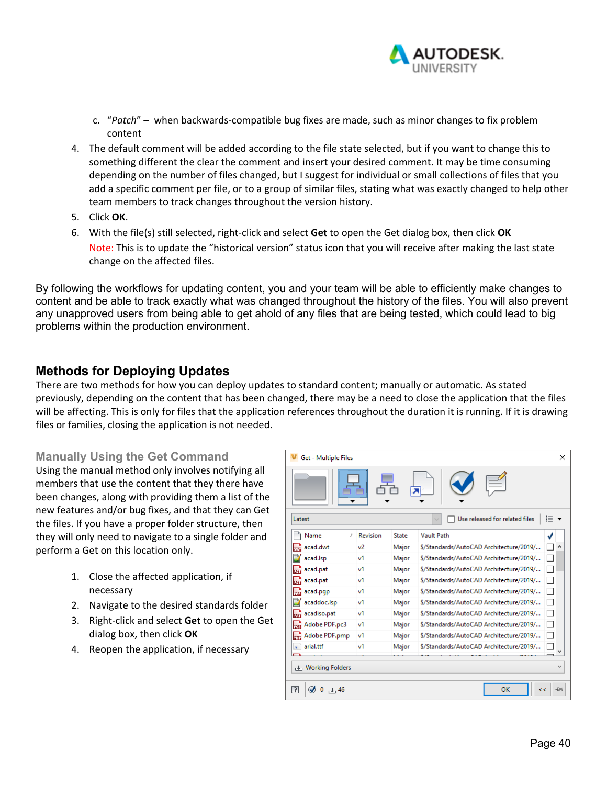

- c. "*Patch*" when backwards‐compatible bug fixes are made, such as minor changes to fix problem content
- 4. The default comment will be added according to the file state selected, but if you want to change this to something different the clear the comment and insert your desired comment. It may be time consuming depending on the number of files changed, but I suggest for individual or small collections of files that you add a specific comment per file, or to a group of similar files, stating what was exactly changed to help other team members to track changes throughout the version history.
- 5. Click **OK**.
- 6. With the file(s) still selected, right‐click and select **Get** to open the Get dialog box, then click **OK** Note: This is to update the "historical version" status icon that you will receive after making the last state change on the affected files.

By following the workflows for updating content, you and your team will be able to efficiently make changes to content and be able to track exactly what was changed throughout the history of the files. You will also prevent any unapproved users from being able to get ahold of any files that are being tested, which could lead to big problems within the production environment.

# **Methods for Deploying Updates**

There are two methods for how you can deploy updates to standard content; manually or automatic. As stated previously, depending on the content that has been changed, there may be a need to close the application that the files will be affecting. This is only for files that the application references throughout the duration it is running. If it is drawing files or families, closing the application is not needed.

### **Manually Using the Get Command**

Using the manual method only involves notifying all members that use the content that they there have been changes, along with providing them a list of the new features and/or bug fixes, and that they can Get the files. If you have a proper folder structure, then they will only need to navigate to a single folder and perform a Get on this location only.

- 1. Close the affected application, if necessary
- 2. Navigate to the desired standards folder
- 3. Right‐click and select **Get** to open the Get dialog box, then click **OK**
- 4. Reopen the application, if necessary

| ×<br>Get - Multiple Files                      |          |       |                                         |  |  |  |  |  |
|------------------------------------------------|----------|-------|-----------------------------------------|--|--|--|--|--|
|                                                |          |       |                                         |  |  |  |  |  |
| į≡<br>Use released for related files<br>Latest |          |       |                                         |  |  |  |  |  |
| Name<br>t.                                     | Revision | State | <b>Vault Path</b>                       |  |  |  |  |  |
| acad.dwt                                       | v2       | Major | \$/Standards/AutoCAD Architecture/2019/ |  |  |  |  |  |
| acad.lsp                                       | v1       | Major | \$/Standards/AutoCAD Architecture/2019/ |  |  |  |  |  |
| acad.pat                                       | v1       | Major | \$/Standards/AutoCAD Architecture/2019/ |  |  |  |  |  |
| acad.pat                                       | v1       | Major | \$/Standards/AutoCAD Architecture/2019/ |  |  |  |  |  |
| acad.pgp                                       | v1       | Major | \$/Standards/AutoCAD Architecture/2019/ |  |  |  |  |  |
| acaddoc.lsp                                    | v1       | Major | \$/Standards/AutoCAD Architecture/2019/ |  |  |  |  |  |
| acadiso.pat                                    | v1       | Major | \$/Standards/AutoCAD Architecture/2019/ |  |  |  |  |  |
| Adobe PDF.pc3                                  | v1       | Major | \$/Standards/AutoCAD Architecture/2019/ |  |  |  |  |  |
| Adobe PDF.pmp                                  | v1       | Major | \$/Standards/AutoCAD Architecture/2019/ |  |  |  |  |  |
| arial.ttf                                      | v1       | Major | \$/Standards/AutoCAD Architecture/2019/ |  |  |  |  |  |
|                                                |          |       |                                         |  |  |  |  |  |
| ↓ Working Folders                              |          |       |                                         |  |  |  |  |  |
| $\overline{?}$<br>OK<br>$+ 46$<br>一<br>22      |          |       |                                         |  |  |  |  |  |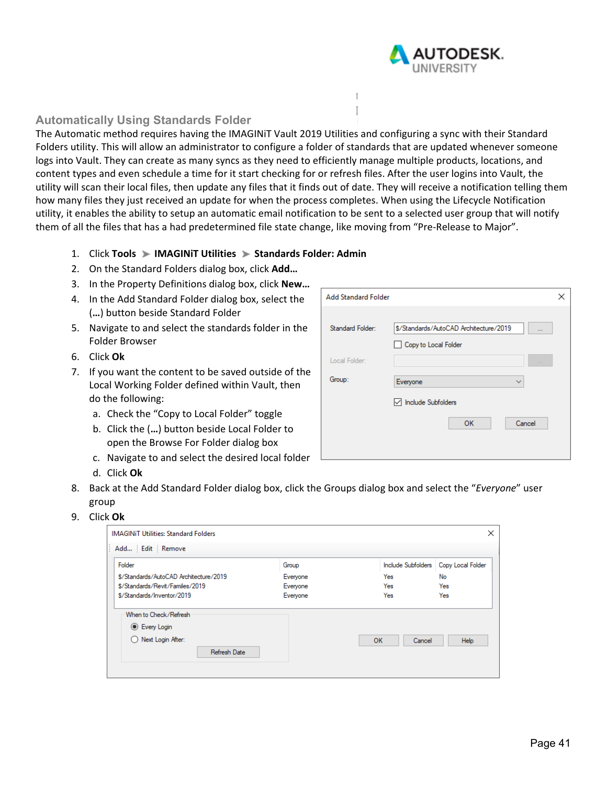

### **Automatically Using Standards Folder**

The Automatic method requires having the IMAGINiT Vault 2019 Utilities and configuring a sync with their Standard Folders utility. This will allow an administrator to configure a folder of standards that are updated whenever someone logs into Vault. They can create as many syncs as they need to efficiently manage multiple products, locations, and content types and even schedule a time for it start checking for or refresh files. After the user logins into Vault, the utility will scan their local files, then update any files that it finds out of date. They will receive a notification telling them how many files they just received an update for when the process completes. When using the Lifecycle Notification utility, it enables the ability to setup an automatic email notification to be sent to a selected user group that will notify them of all the files that has a had predetermined file state change, like moving from "Pre‐Release to Major".

f.

**Add Standard Folder** 

Standard Folder:

- 1. Click **Tools IMAGINiT Utilities Standards Folder: Admin**
- 2. On the Standard Folders dialog box, click **Add…**
- 3. In the Property Definitions dialog box, click **New…**
- 4. In the Add Standard Folder dialog box, select the (**…**) button beside Standard Folder
- 5. Navigate to and select the standards folder in the Folder Browser
- 6. Click **Ok**
- 7. If you want the content to be saved outside Local Working Folder defined within Vault, th do the following:
	- a. Check the "Copy to Local Folder" toggle
	- b. Click the (...) button beside Local Folder open the Browse For Folder dialog box
	- c. Navigate to and select the desired local
	- d. Click **Ok**

|                |                         | Copy to Local Folder                             |
|----------------|-------------------------|--------------------------------------------------|
| of the<br>:hen | Local Folder:<br>Group: | $\sim$ $\sim$ $\sim$<br>Everyone<br>$\checkmark$ |
|                |                         | □ Include Subfolders                             |
| to             |                         | OK<br>Cancel                                     |
| folder         |                         |                                                  |

\$/Standards/AutoCAD Architecture/2019

- 8. Back at the Add Standard Folder dialog box, click the Groups dialog box and select the "*Everyone*" user group
- 9. Click **Ok**

| ×<br><b>IMAGINIT Utilities: Standard Folders</b> |          |                    |                   |  |  |  |  |  |
|--------------------------------------------------|----------|--------------------|-------------------|--|--|--|--|--|
| Add Edit Remove                                  |          |                    |                   |  |  |  |  |  |
| Folder                                           | Group    | Include Subfolders | Copy Local Folder |  |  |  |  |  |
| \$/Standards/AutoCAD Architecture/2019           | Everyone | Yes                | No                |  |  |  |  |  |
| \$/Standards/Revit/Familes/2019                  | Everyone | Yes                | Yes               |  |  |  |  |  |
| \$/Standards/Inventor/2019                       | Everyone | Yes                | Yes               |  |  |  |  |  |
| When to Check/Refresh                            |          |                    |                   |  |  |  |  |  |
| C Every Login                                    |          |                    |                   |  |  |  |  |  |
| Next Login After:<br>( )                         |          | OK<br>Cancel       | Help              |  |  |  |  |  |
| Refresh Date                                     |          |                    |                   |  |  |  |  |  |
|                                                  |          |                    |                   |  |  |  |  |  |
|                                                  |          |                    |                   |  |  |  |  |  |

 $\times$